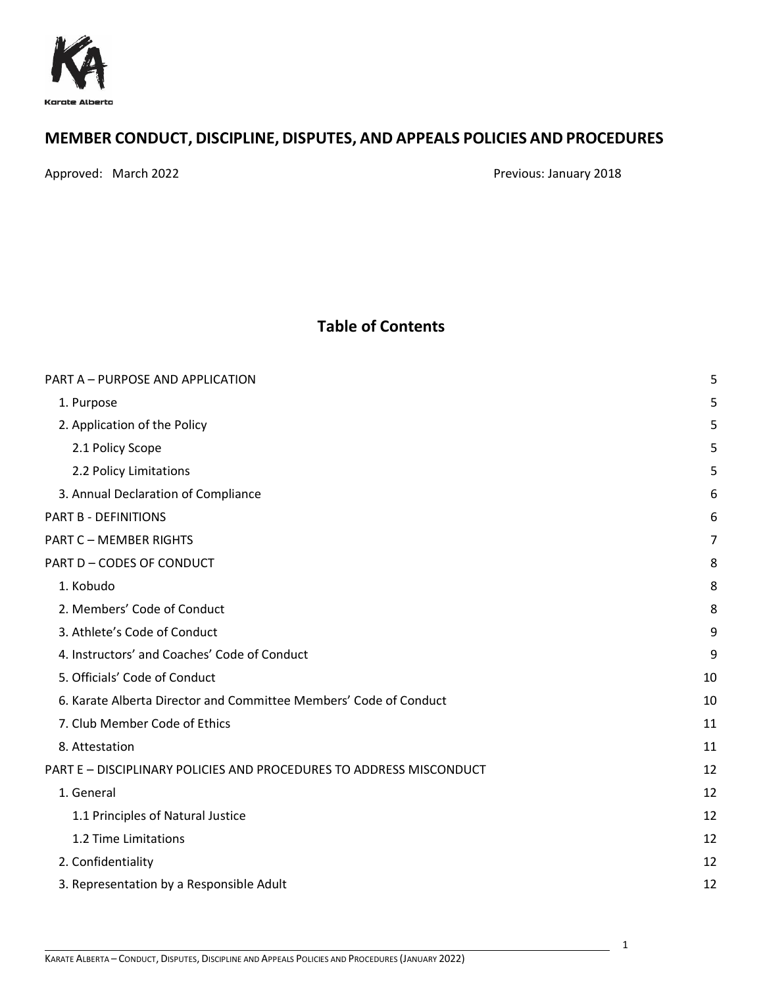

# **MEMBER CONDUCT, DISCIPLINE, DISPUTES, AND APPEALS POLICIES AND PROCEDURES**

Approved: March 2022 **Previous: January 2018** 

1

# **Table of Contents**

| PART A - PURPOSE AND APPLICATION                                    | 5  |
|---------------------------------------------------------------------|----|
| 1. Purpose                                                          | 5  |
| 2. Application of the Policy                                        | 5  |
| 2.1 Policy Scope                                                    | 5  |
| 2.2 Policy Limitations                                              | 5  |
| 3. Annual Declaration of Compliance                                 | 6  |
| PART B - DEFINITIONS                                                | 6  |
| <b>PART C - MEMBER RIGHTS</b>                                       | 7  |
| PART D-CODES OF CONDUCT                                             | 8  |
| 1. Kobudo                                                           | 8  |
| 2. Members' Code of Conduct                                         | 8  |
| 3. Athlete's Code of Conduct                                        | 9  |
| 4. Instructors' and Coaches' Code of Conduct                        | 9  |
| 5. Officials' Code of Conduct                                       | 10 |
| 6. Karate Alberta Director and Committee Members' Code of Conduct   | 10 |
| 7. Club Member Code of Ethics                                       | 11 |
| 8. Attestation                                                      | 11 |
| PART E - DISCIPLINARY POLICIES AND PROCEDURES TO ADDRESS MISCONDUCT | 12 |
| 1. General                                                          | 12 |
| 1.1 Principles of Natural Justice                                   | 12 |
| 1.2 Time Limitations                                                | 12 |
| 2. Confidentiality                                                  | 12 |
| 3. Representation by a Responsible Adult                            | 12 |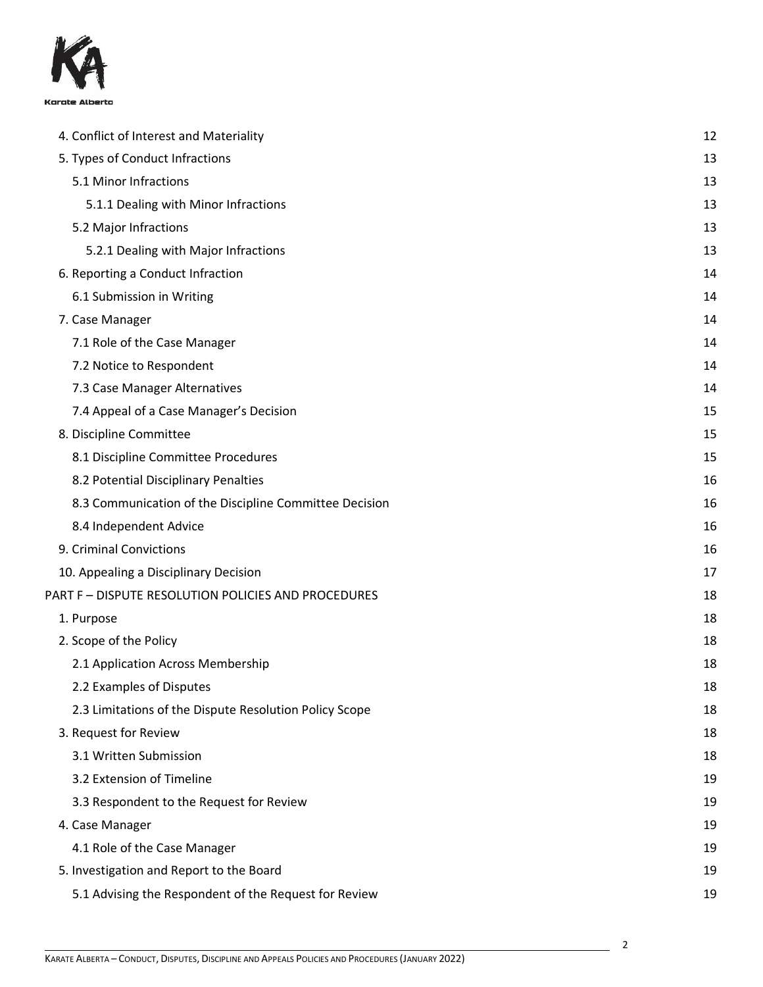

| 4. Conflict of Interest and Materiality                |    |
|--------------------------------------------------------|----|
|                                                        | 12 |
| 5. Types of Conduct Infractions                        | 13 |
| 5.1 Minor Infractions                                  | 13 |
| 5.1.1 Dealing with Minor Infractions                   | 13 |
| 5.2 Major Infractions                                  | 13 |
| 5.2.1 Dealing with Major Infractions                   | 13 |
| 6. Reporting a Conduct Infraction                      | 14 |
| 6.1 Submission in Writing                              | 14 |
| 7. Case Manager                                        | 14 |
| 7.1 Role of the Case Manager                           | 14 |
| 7.2 Notice to Respondent                               | 14 |
| 7.3 Case Manager Alternatives                          | 14 |
| 7.4 Appeal of a Case Manager's Decision                | 15 |
| 8. Discipline Committee                                | 15 |
| 8.1 Discipline Committee Procedures                    | 15 |
| 8.2 Potential Disciplinary Penalties                   | 16 |
| 8.3 Communication of the Discipline Committee Decision | 16 |
| 8.4 Independent Advice                                 | 16 |
| 9. Criminal Convictions                                | 16 |
| 10. Appealing a Disciplinary Decision                  | 17 |
| PART F - DISPUTE RESOLUTION POLICIES AND PROCEDURES    | 18 |
| 1. Purpose                                             | 18 |
| 2. Scope of the Policy                                 | 18 |
| 2.1 Application Across Membership                      | 18 |
| 2.2 Examples of Disputes                               | 18 |
| 2.3 Limitations of the Dispute Resolution Policy Scope | 18 |
| 3. Request for Review                                  | 18 |
| 3.1 Written Submission                                 | 18 |
| 3.2 Extension of Timeline                              | 19 |
| 3.3 Respondent to the Request for Review               | 19 |
| 4. Case Manager                                        | 19 |
| 4.1 Role of the Case Manager                           | 19 |
| 5. Investigation and Report to the Board               | 19 |
| 5.1 Advising the Respondent of the Request for Review  | 19 |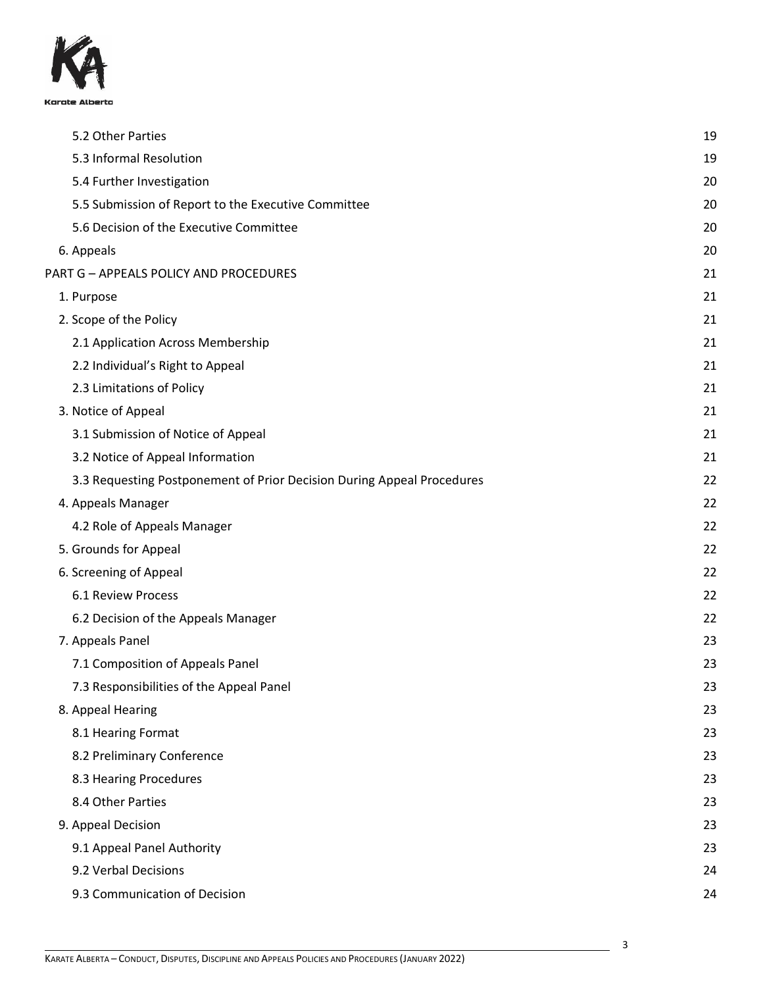

| 5.2 Other Parties                                                      | 19 |
|------------------------------------------------------------------------|----|
| 5.3 Informal Resolution                                                | 19 |
| 5.4 Further Investigation                                              | 20 |
| 5.5 Submission of Report to the Executive Committee                    | 20 |
| 5.6 Decision of the Executive Committee                                | 20 |
| 6. Appeals                                                             | 20 |
| PART G - APPEALS POLICY AND PROCEDURES                                 | 21 |
| 1. Purpose                                                             | 21 |
| 2. Scope of the Policy                                                 | 21 |
| 2.1 Application Across Membership                                      | 21 |
| 2.2 Individual's Right to Appeal                                       | 21 |
| 2.3 Limitations of Policy                                              | 21 |
| 3. Notice of Appeal                                                    | 21 |
| 3.1 Submission of Notice of Appeal                                     | 21 |
| 3.2 Notice of Appeal Information                                       | 21 |
| 3.3 Requesting Postponement of Prior Decision During Appeal Procedures | 22 |
| 4. Appeals Manager                                                     | 22 |
| 4.2 Role of Appeals Manager                                            | 22 |
| 5. Grounds for Appeal                                                  | 22 |
| 6. Screening of Appeal                                                 | 22 |
| <b>6.1 Review Process</b>                                              | 22 |
| 6.2 Decision of the Appeals Manager                                    | 22 |
| 7. Appeals Panel                                                       | 23 |
| 7.1 Composition of Appeals Panel                                       | 23 |
| 7.3 Responsibilities of the Appeal Panel                               | 23 |
| 8. Appeal Hearing                                                      | 23 |
| 8.1 Hearing Format                                                     | 23 |
| 8.2 Preliminary Conference                                             | 23 |
| 8.3 Hearing Procedures                                                 | 23 |
| 8.4 Other Parties                                                      | 23 |
| 9. Appeal Decision                                                     | 23 |
| 9.1 Appeal Panel Authority                                             | 23 |
| 9.2 Verbal Decisions                                                   | 24 |
| 9.3 Communication of Decision                                          | 24 |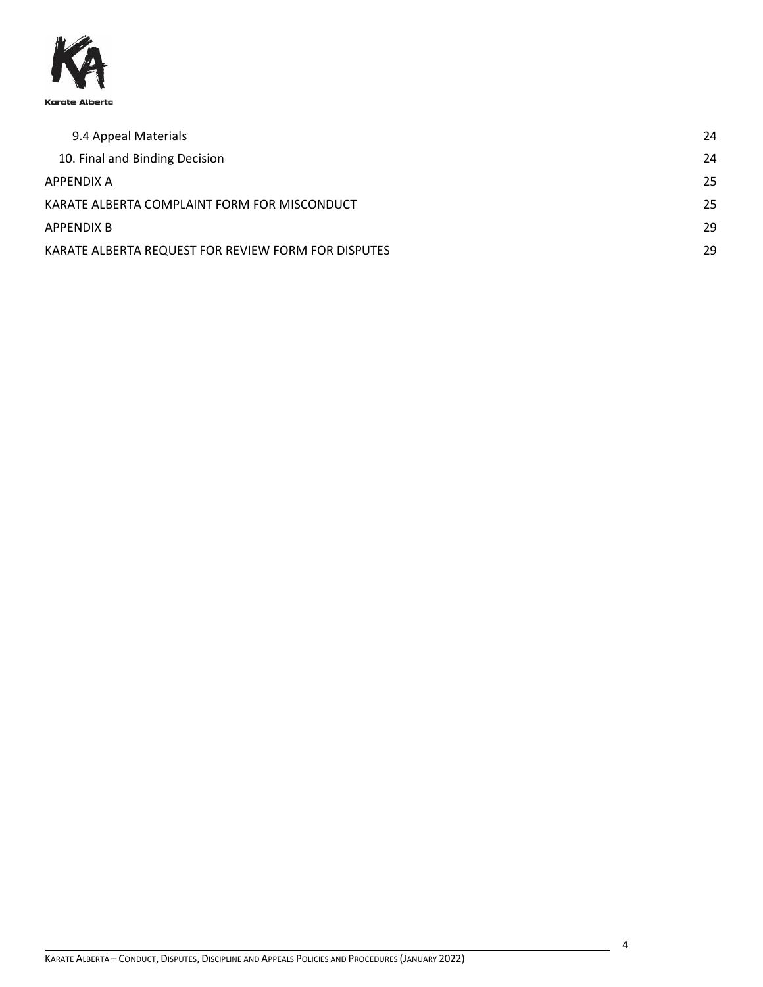

| 9.4 Appeal Materials                                | 24 |
|-----------------------------------------------------|----|
| 10. Final and Binding Decision                      | 24 |
| APPENDIX A                                          | 25 |
| KARATE ALBERTA COMPLAINT FORM FOR MISCONDUCT        | 25 |
| APPENDIX B                                          | 29 |
| KARATE ALBERTA REQUEST FOR REVIEW FORM FOR DISPUTES | 29 |

4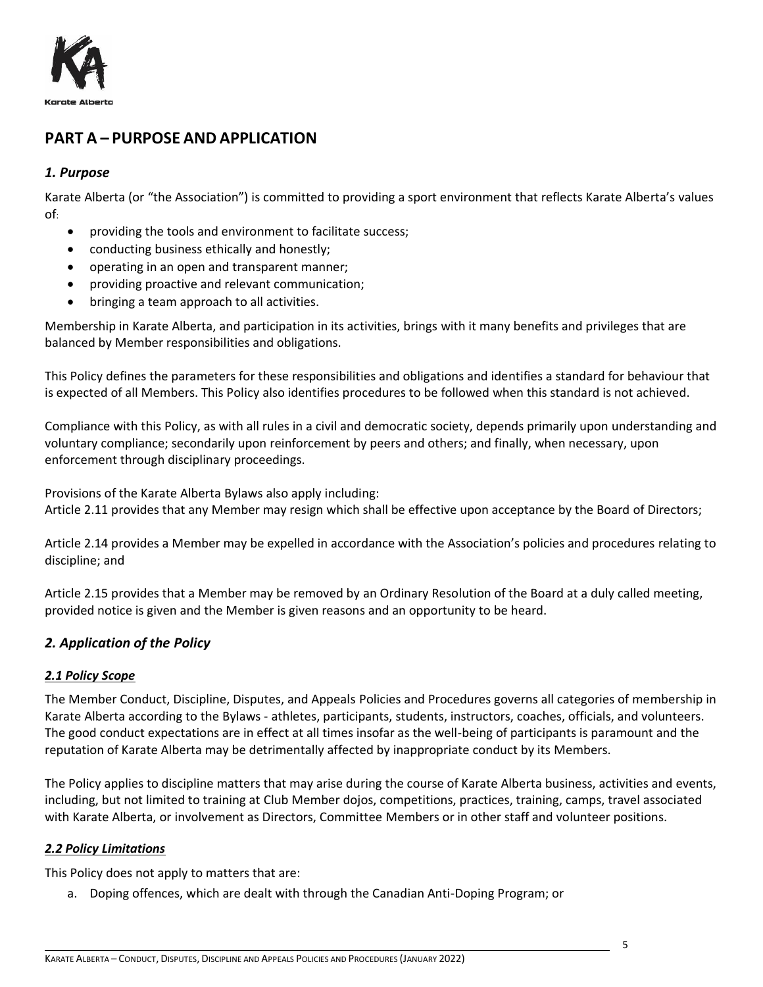

# <span id="page-4-0"></span>**PART A – PURPOSE AND APPLICATION**

## <span id="page-4-1"></span>*1. Purpose*

Karate Alberta (or "the Association") is committed to providing a sport environment that reflects Karate Alberta's values of:

- providing the tools and environment to facilitate success;
- conducting business ethically and honestly;
- operating in an open and transparent manner;
- providing proactive and relevant communication;
- bringing a team approach to all activities.

Membership in Karate Alberta, and participation in its activities, brings with it many benefits and privileges that are balanced by Member responsibilities and obligations.

This Policy defines the parameters for these responsibilities and obligations and identifies a standard for behaviour that is expected of all Members. This Policy also identifies procedures to be followed when this standard is not achieved.

Compliance with this Policy, as with all rules in a civil and democratic society, depends primarily upon understanding and voluntary compliance; secondarily upon reinforcement by peers and others; and finally, when necessary, upon enforcement through disciplinary proceedings.

Provisions of the Karate Alberta Bylaws also apply including: Article 2.11 provides that any Member may resign which shall be effective upon acceptance by the Board of Directors;

Article 2.14 provides a Member may be expelled in accordance with the Association's policies and procedures relating to discipline; and

Article 2.15 provides that a Member may be removed by an Ordinary Resolution of the Board at a duly called meeting, provided notice is given and the Member is given reasons and an opportunity to be heard.

## <span id="page-4-2"></span>*2. Application of the Policy*

## <span id="page-4-3"></span>*2.1 Policy Scope*

The Member Conduct, Discipline, Disputes, and Appeals Policies and Procedures governs all categories of membership in Karate Alberta according to the Bylaws - athletes, participants, students, instructors, coaches, officials, and volunteers. The good conduct expectations are in effect at all times insofar as the well-being of participants is paramount and the reputation of Karate Alberta may be detrimentally affected by inappropriate conduct by its Members.

The Policy applies to discipline matters that may arise during the course of Karate Alberta business, activities and events, including, but not limited to training at Club Member dojos, competitions, practices, training, camps, travel associated with Karate Alberta, or involvement as Directors, Committee Members or in other staff and volunteer positions.

#### <span id="page-4-4"></span>*2.2 Policy Limitations*

This Policy does not apply to matters that are:

a. Doping offences, which are dealt with through the Canadian Anti-Doping Program; or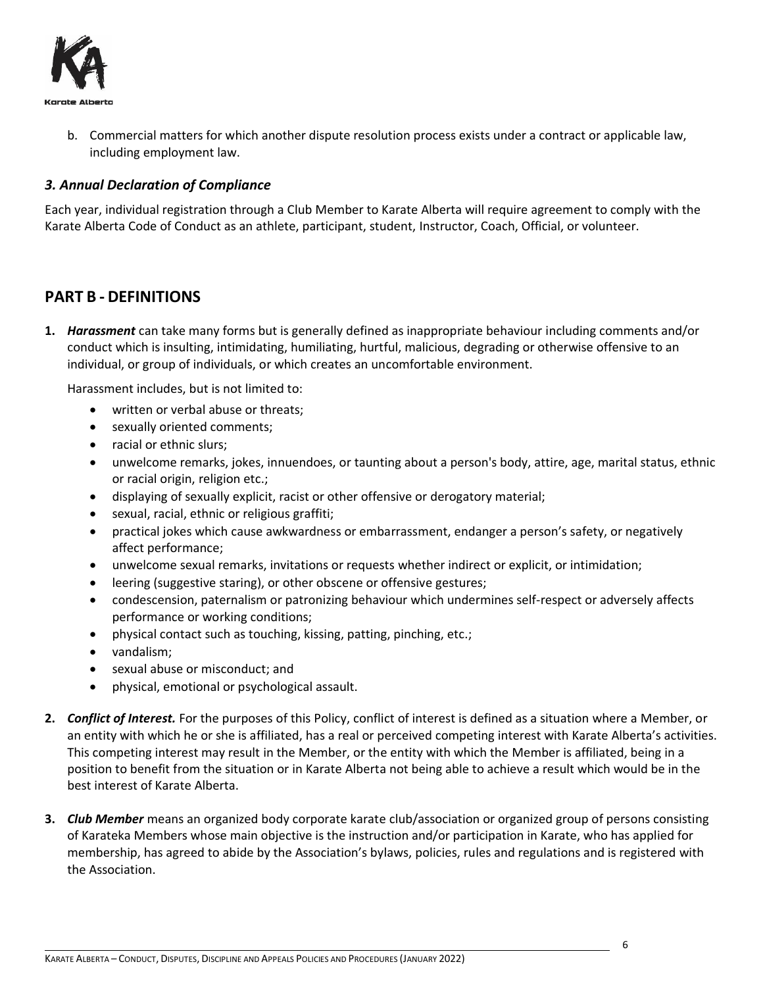

b. Commercial matters for which another dispute resolution process exists under a contract or applicable law, including employment law.

## <span id="page-5-0"></span>*3. Annual Declaration of Compliance*

Each year, individual registration through a Club Member to Karate Alberta will require agreement to comply with the Karate Alberta Code of Conduct as an athlete, participant, student, Instructor, Coach, Official, or volunteer.

# <span id="page-5-1"></span>**PART B - DEFINITIONS**

**1.** *Harassment* can take many forms but is generally defined as inappropriate behaviour including comments and/or conduct which is insulting, intimidating, humiliating, hurtful, malicious, degrading or otherwise offensive to an individual, or group of individuals, or which creates an uncomfortable environment.

Harassment includes, but is not limited to:

- written or verbal abuse or threats;
- sexually oriented comments;
- racial or ethnic slurs;
- unwelcome remarks, jokes, innuendoes, or taunting about a person's body, attire, age, marital status, ethnic or racial origin, religion etc.;
- displaying of sexually explicit, racist or other offensive or derogatory material;
- sexual, racial, ethnic or religious graffiti;
- practical jokes which cause awkwardness or embarrassment, endanger a person's safety, or negatively affect performance;
- unwelcome sexual remarks, invitations or requests whether indirect or explicit, or intimidation;
- leering (suggestive staring), or other obscene or offensive gestures;
- condescension, paternalism or patronizing behaviour which undermines self-respect or adversely affects performance or working conditions;
- physical contact such as touching, kissing, patting, pinching, etc.;
- vandalism;
- sexual abuse or misconduct; and
- physical, emotional or psychological assault.
- **2.** *Conflict of Interest.* For the purposes of this Policy, conflict of interest is defined as a situation where a Member, or an entity with which he or she is affiliated, has a real or perceived competing interest with Karate Alberta's activities. This competing interest may result in the Member, or the entity with which the Member is affiliated, being in a position to benefit from the situation or in Karate Alberta not being able to achieve a result which would be in the best interest of Karate Alberta.
- **3.** *Club Member* means an organized body corporate karate club/association or organized group of persons consisting of Karateka Members whose main objective is the instruction and/or participation in Karate, who has applied for membership, has agreed to abide by the Association's bylaws, policies, rules and regulations and is registered with the Association.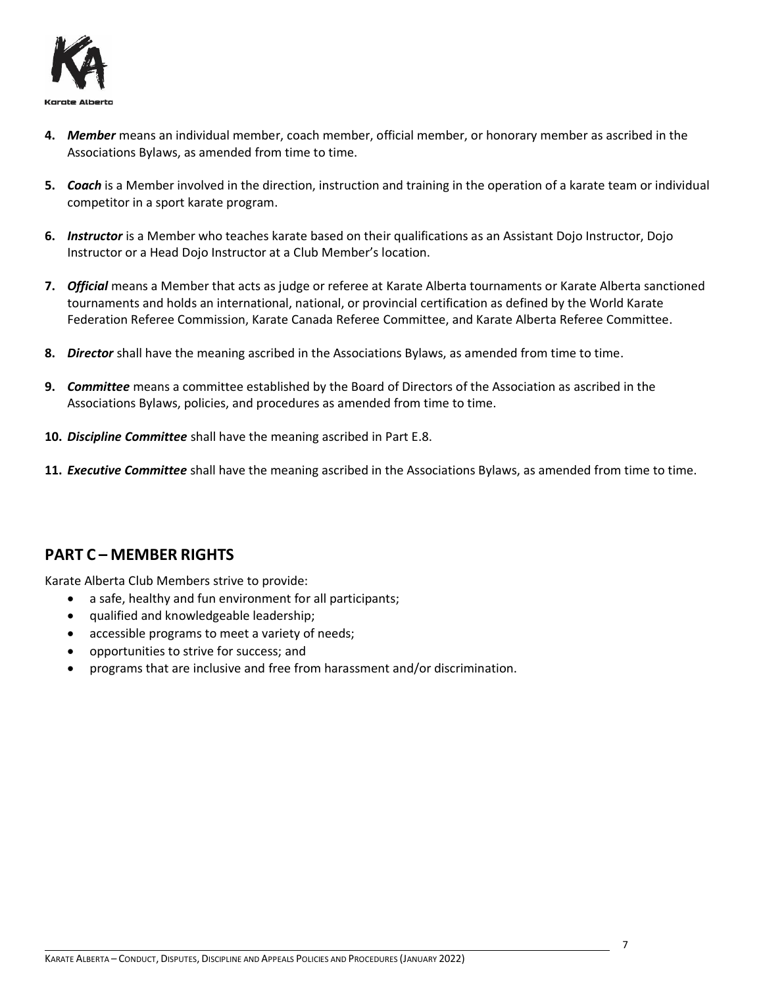

- **4.** *Member* means an individual member, coach member, official member, or honorary member as ascribed in the Associations Bylaws, as amended from time to time.
- **5.** *Coach* is a Member involved in the direction, instruction and training in the operation of a karate team or individual competitor in a sport karate program.
- **6.** *Instructor* is a Member who teaches karate based on their qualifications as an Assistant Dojo Instructor, Dojo Instructor or a Head Dojo Instructor at a Club Member's location.
- **7.** *Official* means a Member that acts as judge or referee at Karate Alberta tournaments or Karate Alberta sanctioned tournaments and holds an international, national, or provincial certification as defined by the World Karate Federation Referee Commission, Karate Canada Referee Committee, and Karate Alberta Referee Committee.
- **8.** *Director* shall have the meaning ascribed in the Associations Bylaws, as amended from time to time.
- **9.** *Committee* means a committee established by the Board of Directors of the Association as ascribed in the Associations Bylaws, policies, and procedures as amended from time to time.
- **10.** *Discipline Committee* shall have the meaning ascribed in Part E.8.
- **11.** *Executive Committee* shall have the meaning ascribed in the Associations Bylaws, as amended from time to time.

# <span id="page-6-0"></span>**PART C – MEMBER RIGHTS**

Karate Alberta Club Members strive to provide:

- a safe, healthy and fun environment for all participants;
- qualified and knowledgeable leadership;
- accessible programs to meet a variety of needs;
- opportunities to strive for success; and
- programs that are inclusive and free from harassment and/or discrimination.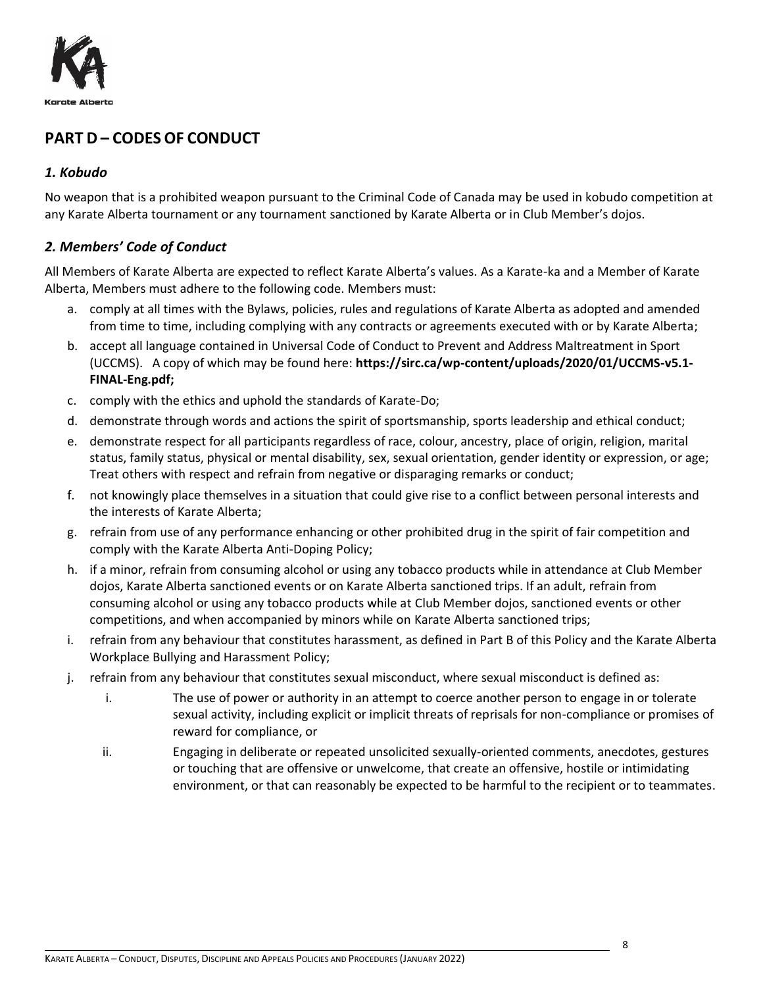

# <span id="page-7-0"></span>**PART D – CODES OF CONDUCT**

## <span id="page-7-1"></span>*1. Kobudo*

No weapon that is a prohibited weapon pursuant to the Criminal Code of Canada may be used in kobudo competition at any Karate Alberta tournament or any tournament sanctioned by Karate Alberta or in Club Member's dojos.

## <span id="page-7-2"></span>*2. Members' Code of Conduct*

All Members of Karate Alberta are expected to reflect Karate Alberta's values. As a Karate-ka and a Member of Karate Alberta, Members must adhere to the following code. Members must:

- a. comply at all times with the Bylaws, policies, rules and regulations of Karate Alberta as adopted and amended from time to time, including complying with any contracts or agreements executed with or by Karate Alberta;
- b. accept all language contained in Universal Code of Conduct to Prevent and Address Maltreatment in Sport (UCCMS). A copy of which may be found here: **https://sirc.ca/wp-content/uploads/2020/01/UCCMS-v5.1- FINAL-Eng.pdf;**
- c. comply with the ethics and uphold the standards of Karate-Do;
- d. demonstrate through words and actions the spirit of sportsmanship, sports leadership and ethical conduct;
- e. demonstrate respect for all participants regardless of race, colour, ancestry, place of origin, religion, marital status, family status, physical or mental disability, sex, sexual orientation, gender identity or expression, or age; Treat others with respect and refrain from negative or disparaging remarks or conduct;
- f. not knowingly place themselves in a situation that could give rise to a conflict between personal interests and the interests of Karate Alberta;
- g. refrain from use of any performance enhancing or other prohibited drug in the spirit of fair competition and comply with the Karate Alberta Anti-Doping Policy;
- h. if a minor, refrain from consuming alcohol or using any tobacco products while in attendance at Club Member dojos, Karate Alberta sanctioned events or on Karate Alberta sanctioned trips. If an adult, refrain from consuming alcohol or using any tobacco products while at Club Member dojos, sanctioned events or other competitions, and when accompanied by minors while on Karate Alberta sanctioned trips;
- i. refrain from any behaviour that constitutes harassment, as defined in Part B of this Policy and the Karate Alberta Workplace Bullying and Harassment Policy;
- j. refrain from any behaviour that constitutes sexual misconduct, where sexual misconduct is defined as:
	- i. The use of power or authority in an attempt to coerce another person to engage in or tolerate sexual activity, including explicit or implicit threats of reprisals for non-compliance or promises of reward for compliance, or
	- ii. Engaging in deliberate or repeated unsolicited sexually-oriented comments, anecdotes, gestures or touching that are offensive or unwelcome, that create an offensive, hostile or intimidating environment, or that can reasonably be expected to be harmful to the recipient or to teammates.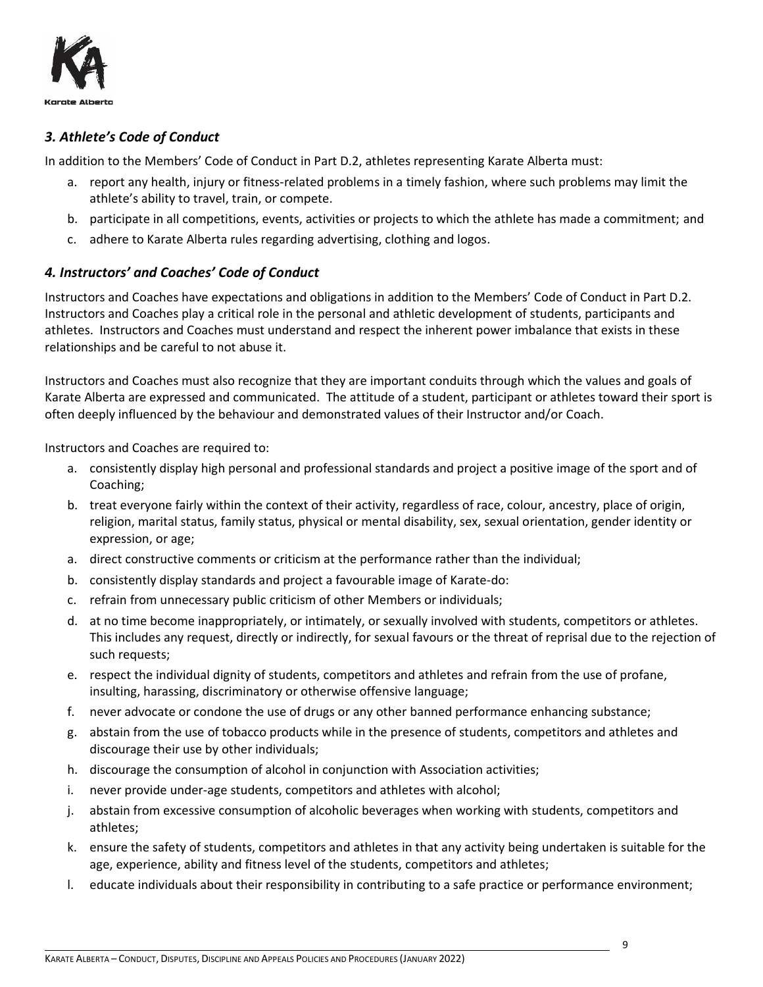

## <span id="page-8-0"></span>*3. Athlete's Code of Conduct*

In addition to the Members' Code of Conduct in Part D.2, athletes representing Karate Alberta must:

- a. report any health, injury or fitness-related problems in a timely fashion, where such problems may limit the athlete's ability to travel, train, or compete.
- b. participate in all competitions, events, activities or projects to which the athlete has made a commitment; and
- c. adhere to Karate Alberta rules regarding advertising, clothing and logos.

## <span id="page-8-1"></span>*4. Instructors' and Coaches' Code of Conduct*

Instructors and Coaches have expectations and obligations in addition to the Members' Code of Conduct in Part D.2. Instructors and Coaches play a critical role in the personal and athletic development of students, participants and athletes. Instructors and Coaches must understand and respect the inherent power imbalance that exists in these relationships and be careful to not abuse it.

Instructors and Coaches must also recognize that they are important conduits through which the values and goals of Karate Alberta are expressed and communicated. The attitude of a student, participant or athletes toward their sport is often deeply influenced by the behaviour and demonstrated values of their Instructor and/or Coach.

Instructors and Coaches are required to:

- a. consistently display high personal and professional standards and project a positive image of the sport and of Coaching;
- b. treat everyone fairly within the context of their activity, regardless of race, colour, ancestry, place of origin, religion, marital status, family status, physical or mental disability, sex, sexual orientation, gender identity or expression, or age;
- a. direct constructive comments or criticism at the performance rather than the individual;
- b. consistently display standards and project a favourable image of Karate-do:
- c. refrain from unnecessary public criticism of other Members or individuals;
- d. at no time become inappropriately, or intimately, or sexually involved with students, competitors or athletes. This includes any request, directly or indirectly, for sexual favours or the threat of reprisal due to the rejection of such requests;
- e. respect the individual dignity of students, competitors and athletes and refrain from the use of profane, insulting, harassing, discriminatory or otherwise offensive language;
- f. never advocate or condone the use of drugs or any other banned performance enhancing substance;
- g. abstain from the use of tobacco products while in the presence of students, competitors and athletes and discourage their use by other individuals;
- h. discourage the consumption of alcohol in conjunction with Association activities;
- i. never provide under-age students, competitors and athletes with alcohol;
- j. abstain from excessive consumption of alcoholic beverages when working with students, competitors and athletes;
- k. ensure the safety of students, competitors and athletes in that any activity being undertaken is suitable for the age, experience, ability and fitness level of the students, competitors and athletes;
- l. educate individuals about their responsibility in contributing to a safe practice or performance environment;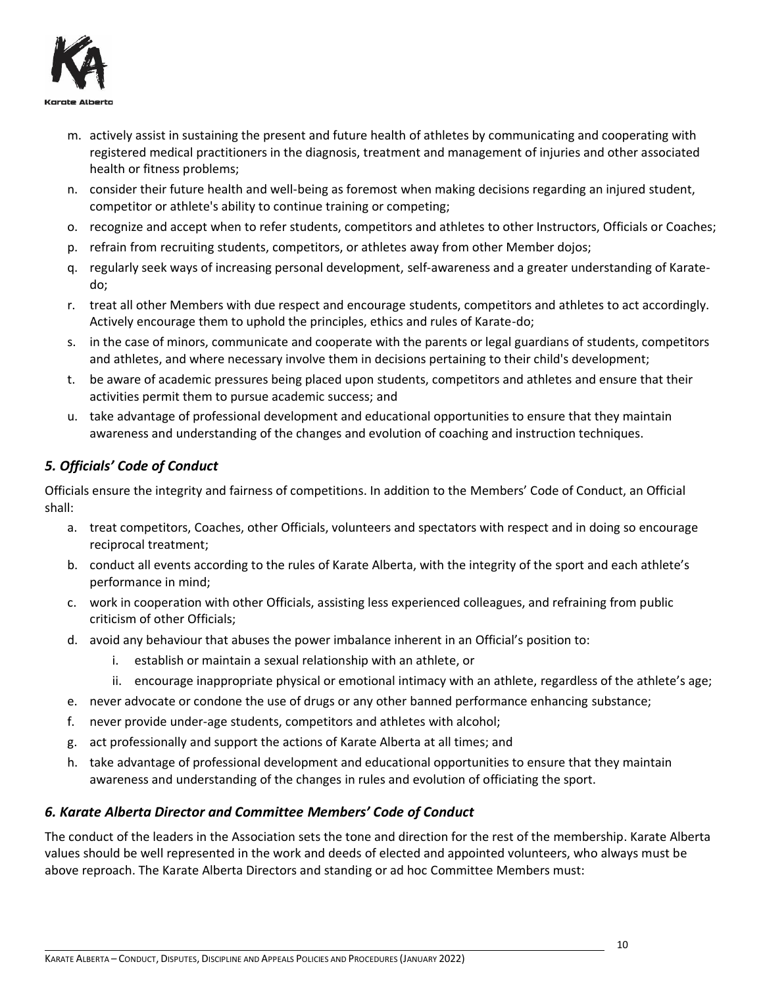

- m. actively assist in sustaining the present and future health of athletes by communicating and cooperating with registered medical practitioners in the diagnosis, treatment and management of injuries and other associated health or fitness problems;
- n. consider their future health and well-being as foremost when making decisions regarding an injured student, competitor or athlete's ability to continue training or competing;
- o. recognize and accept when to refer students, competitors and athletes to other Instructors, Officials or Coaches;
- p. refrain from recruiting students, competitors, or athletes away from other Member dojos;
- q. regularly seek ways of increasing personal development, self-awareness and a greater understanding of Karatedo;
- r. treat all other Members with due respect and encourage students, competitors and athletes to act accordingly. Actively encourage them to uphold the principles, ethics and rules of Karate-do;
- s. in the case of minors, communicate and cooperate with the parents or legal guardians of students, competitors and athletes, and where necessary involve them in decisions pertaining to their child's development;
- t. be aware of academic pressures being placed upon students, competitors and athletes and ensure that their activities permit them to pursue academic success; and
- u. take advantage of professional development and educational opportunities to ensure that they maintain awareness and understanding of the changes and evolution of coaching and instruction techniques.

# <span id="page-9-0"></span>*5. Officials' Code of Conduct*

Officials ensure the integrity and fairness of competitions. In addition to the Members' Code of Conduct, an Official shall:

- a. treat competitors, Coaches, other Officials, volunteers and spectators with respect and in doing so encourage reciprocal treatment;
- b. conduct all events according to the rules of Karate Alberta, with the integrity of the sport and each athlete's performance in mind;
- c. work in cooperation with other Officials, assisting less experienced colleagues, and refraining from public criticism of other Officials;
- d. avoid any behaviour that abuses the power imbalance inherent in an Official's position to:
	- i. establish or maintain a sexual relationship with an athlete, or
	- ii. encourage inappropriate physical or emotional intimacy with an athlete, regardless of the athlete's age;
- e. never advocate or condone the use of drugs or any other banned performance enhancing substance;
- f. never provide under-age students, competitors and athletes with alcohol;
- g. act professionally and support the actions of Karate Alberta at all times; and
- h. take advantage of professional development and educational opportunities to ensure that they maintain awareness and understanding of the changes in rules and evolution of officiating the sport.

## <span id="page-9-1"></span>*6. Karate Alberta Director and Committee Members' Code of Conduct*

The conduct of the leaders in the Association sets the tone and direction for the rest of the membership. Karate Alberta values should be well represented in the work and deeds of elected and appointed volunteers, who always must be above reproach. The Karate Alberta Directors and standing or ad hoc Committee Members must: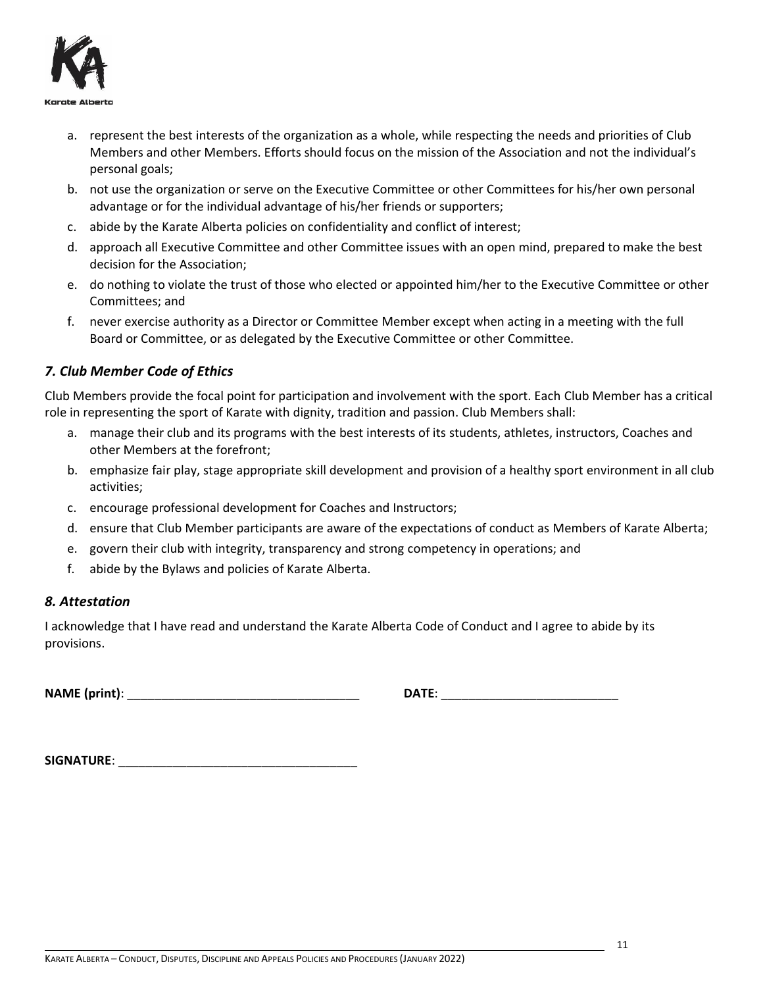

- a. represent the best interests of the organization as a whole, while respecting the needs and priorities of Club Members and other Members. Efforts should focus on the mission of the Association and not the individual's personal goals;
- b. not use the organization or serve on the Executive Committee or other Committees for his/her own personal advantage or for the individual advantage of his/her friends or supporters;
- c. abide by the Karate Alberta policies on confidentiality and conflict of interest;
- d. approach all Executive Committee and other Committee issues with an open mind, prepared to make the best decision for the Association;
- e. do nothing to violate the trust of those who elected or appointed him/her to the Executive Committee or other Committees; and
- f. never exercise authority as a Director or Committee Member except when acting in a meeting with the full Board or Committee, or as delegated by the Executive Committee or other Committee.

## <span id="page-10-0"></span>*7. Club Member Code of Ethics*

Club Members provide the focal point for participation and involvement with the sport. Each Club Member has a critical role in representing the sport of Karate with dignity, tradition and passion. Club Members shall:

- a. manage their club and its programs with the best interests of its students, athletes, instructors, Coaches and other Members at the forefront;
- b. emphasize fair play, stage appropriate skill development and provision of a healthy sport environment in all club activities;
- c. encourage professional development for Coaches and Instructors;
- d. ensure that Club Member participants are aware of the expectations of conduct as Members of Karate Alberta;
- e. govern their club with integrity, transparency and strong competency in operations; and
- f. abide by the Bylaws and policies of Karate Alberta.

## <span id="page-10-1"></span>*8. Attestation*

I acknowledge that I have read and understand the Karate Alberta Code of Conduct and I agree to abide by its provisions.

**NAME (print)**: \_\_\_\_\_\_\_\_\_\_\_\_\_\_\_\_\_\_\_\_\_\_\_\_\_\_\_\_\_\_\_\_\_\_ **DATE**: \_\_\_\_\_\_\_\_\_\_\_\_\_\_\_\_\_\_\_\_\_\_\_\_\_\_

| <b>SIGNATURE:</b> |  |
|-------------------|--|
|                   |  |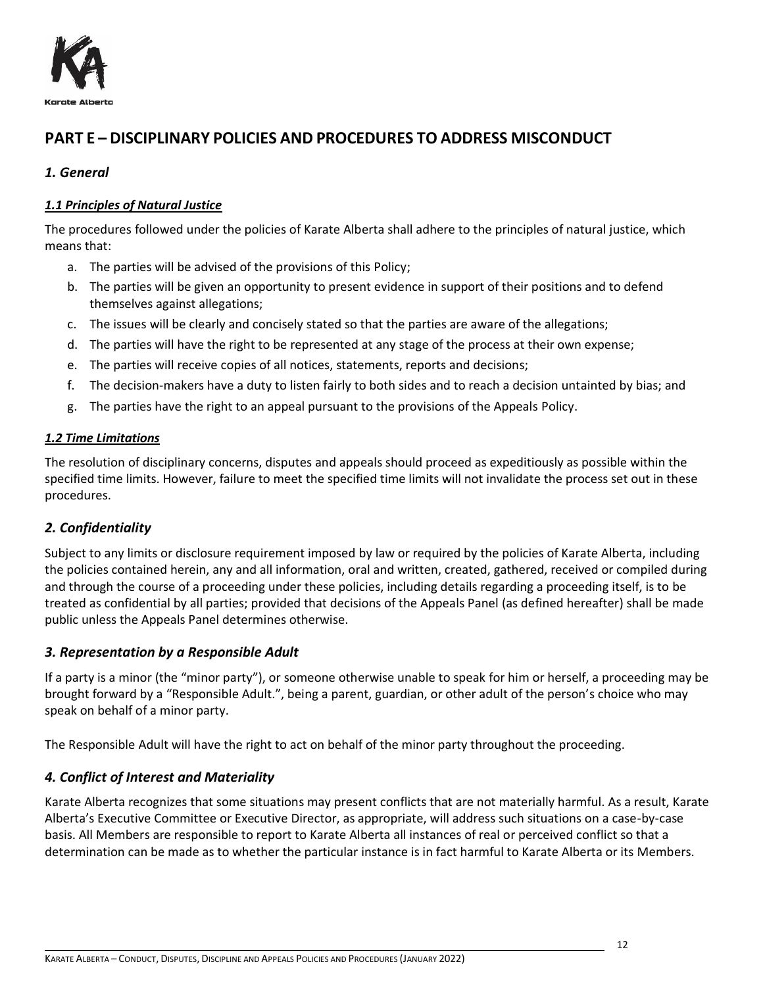

# <span id="page-11-0"></span>**PART E – DISCIPLINARY POLICIES AND PROCEDURES TO ADDRESS MISCONDUCT**

## <span id="page-11-1"></span>*1. General*

## <span id="page-11-2"></span>*1.1 Principles of Natural Justice*

The procedures followed under the policies of Karate Alberta shall adhere to the principles of natural justice, which means that:

- a. The parties will be advised of the provisions of this Policy;
- b. The parties will be given an opportunity to present evidence in support of their positions and to defend themselves against allegations;
- c. The issues will be clearly and concisely stated so that the parties are aware of the allegations;
- d. The parties will have the right to be represented at any stage of the process at their own expense;
- e. The parties will receive copies of all notices, statements, reports and decisions;
- f. The decision-makers have a duty to listen fairly to both sides and to reach a decision untainted by bias; and
- g. The parties have the right to an appeal pursuant to the provisions of the Appeals Policy.

#### <span id="page-11-3"></span>*1.2 Time Limitations*

The resolution of disciplinary concerns, disputes and appeals should proceed as expeditiously as possible within the specified time limits. However, failure to meet the specified time limits will not invalidate the process set out in these procedures.

## <span id="page-11-4"></span>*2. Confidentiality*

Subject to any limits or disclosure requirement imposed by law or required by the policies of Karate Alberta, including the policies contained herein, any and all information, oral and written, created, gathered, received or compiled during and through the course of a proceeding under these policies, including details regarding a proceeding itself, is to be treated as confidential by all parties; provided that decisions of the Appeals Panel (as defined hereafter) shall be made public unless the Appeals Panel determines otherwise.

## <span id="page-11-5"></span>*3. Representation by a Responsible Adult*

If a party is a minor (the "minor party"), or someone otherwise unable to speak for him or herself, a proceeding may be brought forward by a "Responsible Adult.", being a parent, guardian, or other adult of the person's choice who may speak on behalf of a minor party.

<span id="page-11-6"></span>The Responsible Adult will have the right to act on behalf of the minor party throughout the proceeding.

## *4. Conflict of Interest and Materiality*

Karate Alberta recognizes that some situations may present conflicts that are not materially harmful. As a result, Karate Alberta's Executive Committee or Executive Director, as appropriate, will address such situations on a case-by-case basis. All Members are responsible to report to Karate Alberta all instances of real or perceived conflict so that a determination can be made as to whether the particular instance is in fact harmful to Karate Alberta or its Members.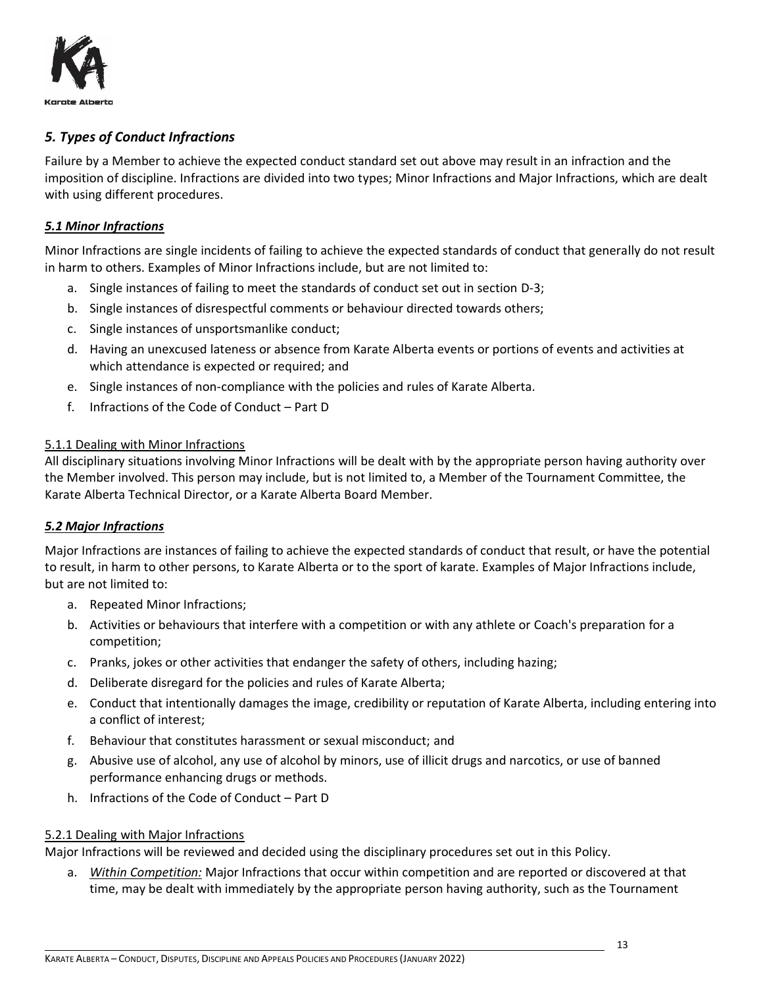

## <span id="page-12-0"></span>*5. Types of Conduct Infractions*

Failure by a Member to achieve the expected conduct standard set out above may result in an infraction and the imposition of discipline. Infractions are divided into two types; Minor Infractions and Major Infractions, which are dealt with using different procedures.

#### <span id="page-12-1"></span>*5.1 Minor Infractions*

Minor Infractions are single incidents of failing to achieve the expected standards of conduct that generally do not result in harm to others. Examples of Minor Infractions include, but are not limited to:

- a. Single instances of failing to meet the standards of conduct set out in section D-3;
- b. Single instances of disrespectful comments or behaviour directed towards others;
- c. Single instances of unsportsmanlike conduct;
- d. Having an unexcused lateness or absence from Karate Alberta events or portions of events and activities at which attendance is expected or required; and
- e. Single instances of non-compliance with the policies and rules of Karate Alberta.
- f. Infractions of the Code of Conduct Part D

#### <span id="page-12-2"></span>5.1.1 Dealing with Minor Infractions

All disciplinary situations involving Minor Infractions will be dealt with by the appropriate person having authority over the Member involved. This person may include, but is not limited to, a Member of the Tournament Committee, the Karate Alberta Technical Director, or a Karate Alberta Board Member.

#### <span id="page-12-3"></span>*5.2 Major Infractions*

Major Infractions are instances of failing to achieve the expected standards of conduct that result, or have the potential to result, in harm to other persons, to Karate Alberta or to the sport of karate. Examples of Major Infractions include, but are not limited to:

- a. Repeated Minor Infractions;
- b. Activities or behaviours that interfere with a competition or with any athlete or Coach's preparation for a competition;
- c. Pranks, jokes or other activities that endanger the safety of others, including hazing;
- d. Deliberate disregard for the policies and rules of Karate Alberta;
- e. Conduct that intentionally damages the image, credibility or reputation of Karate Alberta, including entering into a conflict of interest;
- f. Behaviour that constitutes harassment or sexual misconduct; and
- g. Abusive use of alcohol, any use of alcohol by minors, use of illicit drugs and narcotics, or use of banned performance enhancing drugs or methods.
- h. Infractions of the Code of Conduct Part D

#### <span id="page-12-4"></span>5.2.1 Dealing with Major Infractions

Major Infractions will be reviewed and decided using the disciplinary procedures set out in this Policy.

a. *Within Competition:* Major Infractions that occur within competition and are reported or discovered at that time, may be dealt with immediately by the appropriate person having authority, such as the Tournament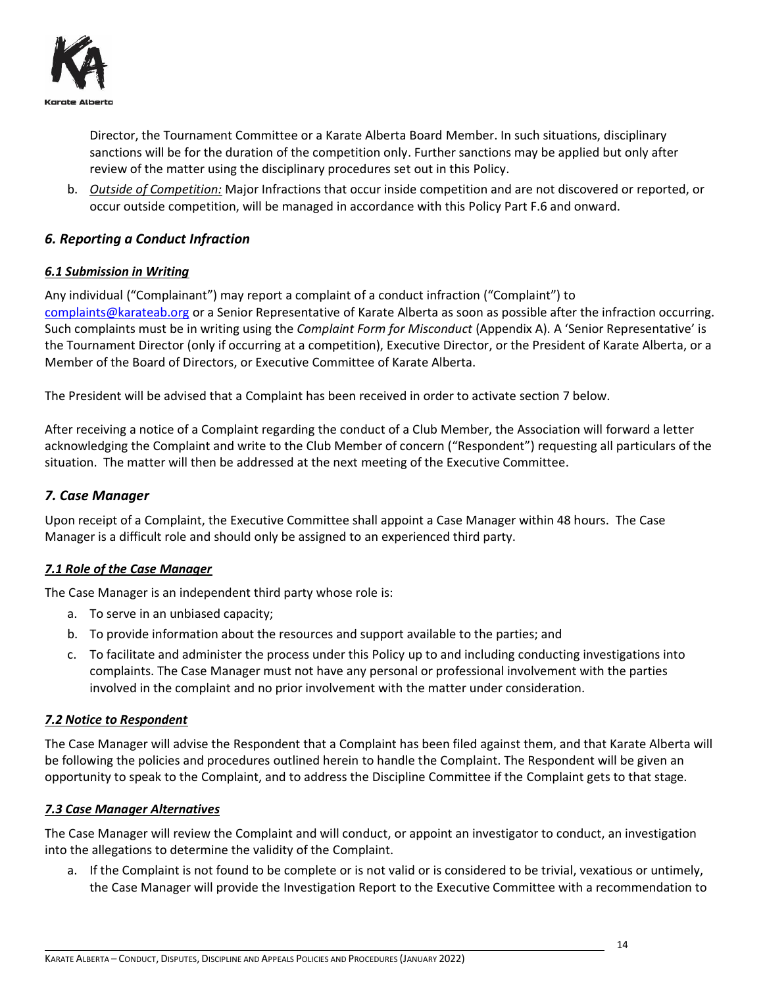

Director, the Tournament Committee or a Karate Alberta Board Member. In such situations, disciplinary sanctions will be for the duration of the competition only. Further sanctions may be applied but only after review of the matter using the disciplinary procedures set out in this Policy.

b. *Outside of Competition:* Major Infractions that occur inside competition and are not discovered or reported, or occur outside competition, will be managed in accordance with this Policy Part F.6 and onward.

## <span id="page-13-0"></span>*6. Reporting a Conduct Infraction*

## <span id="page-13-1"></span>*6.1 Submission in Writing*

Any individual ("Complainant") may report a complaint of a conduct infraction ("Complaint") to [complaints@karateab.org](mailto:complaints@karateab.org) or a Senior Representative of Karate Alberta as soon as possible after the infraction occurring. Such complaints must be in writing using the *Complaint Form for Misconduct* (Appendix A). A 'Senior Representative' is the Tournament Director (only if occurring at a competition), Executive Director, or the President of Karate Alberta, or a Member of the Board of Directors, or Executive Committee of Karate Alberta.

The President will be advised that a Complaint has been received in order to activate section 7 below.

After receiving a notice of a Complaint regarding the conduct of a Club Member, the Association will forward a letter acknowledging the Complaint and write to the Club Member of concern ("Respondent") requesting all particulars of the situation. The matter will then be addressed at the next meeting of the Executive Committee.

## <span id="page-13-2"></span>*7. Case Manager*

Upon receipt of a Complaint, the Executive Committee shall appoint a Case Manager within 48 hours. The Case Manager is a difficult role and should only be assigned to an experienced third party.

## <span id="page-13-3"></span>*7.1 Role of the Case Manager*

The Case Manager is an independent third party whose role is:

- a. To serve in an unbiased capacity;
- b. To provide information about the resources and support available to the parties; and
- c. To facilitate and administer the process under this Policy up to and including conducting investigations into complaints. The Case Manager must not have any personal or professional involvement with the parties involved in the complaint and no prior involvement with the matter under consideration.

#### <span id="page-13-4"></span>*7.2 Notice to Respondent*

The Case Manager will advise the Respondent that a Complaint has been filed against them, and that Karate Alberta will be following the policies and procedures outlined herein to handle the Complaint. The Respondent will be given an opportunity to speak to the Complaint, and to address the Discipline Committee if the Complaint gets to that stage.

## <span id="page-13-5"></span>*7.3 Case Manager Alternatives*

The Case Manager will review the Complaint and will conduct, or appoint an investigator to conduct, an investigation into the allegations to determine the validity of the Complaint.

a. If the Complaint is not found to be complete or is not valid or is considered to be trivial, vexatious or untimely, the Case Manager will provide the Investigation Report to the Executive Committee with a recommendation to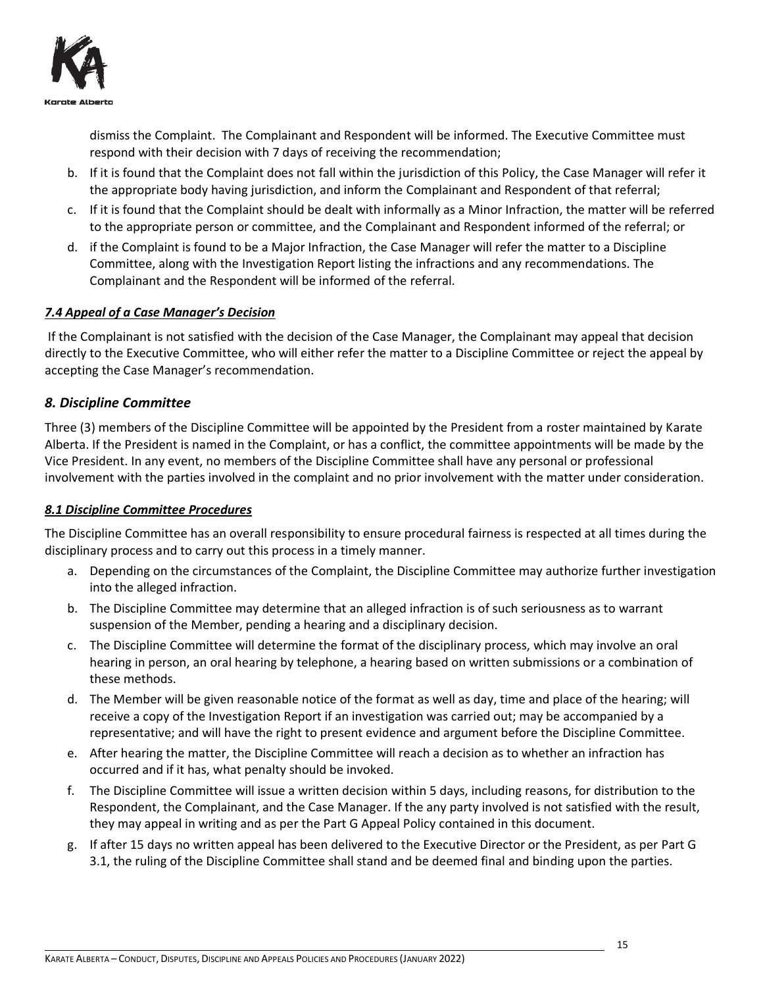

dismiss the Complaint. The Complainant and Respondent will be informed. The Executive Committee must respond with their decision with 7 days of receiving the recommendation;

- b. If it is found that the Complaint does not fall within the jurisdiction of this Policy, the Case Manager will refer it the appropriate body having jurisdiction, and inform the Complainant and Respondent of that referral;
- c. If it is found that the Complaint should be dealt with informally as a Minor Infraction, the matter will be referred to the appropriate person or committee, and the Complainant and Respondent informed of the referral; or
- d. if the Complaint is found to be a Major Infraction, the Case Manager will refer the matter to a Discipline Committee, along with the Investigation Report listing the infractions and any recommendations. The Complainant and the Respondent will be informed of the referral.

## <span id="page-14-0"></span>*7.4 Appeal of a Case Manager's Decision*

If the Complainant is not satisfied with the decision of the Case Manager, the Complainant may appeal that decision directly to the Executive Committee, who will either refer the matter to a Discipline Committee or reject the appeal by accepting the Case Manager's recommendation.

#### <span id="page-14-1"></span>*8. Discipline Committee*

Three (3) members of the Discipline Committee will be appointed by the President from a roster maintained by Karate Alberta. If the President is named in the Complaint, or has a conflict, the committee appointments will be made by the Vice President. In any event, no members of the Discipline Committee shall have any personal or professional involvement with the parties involved in the complaint and no prior involvement with the matter under consideration.

#### <span id="page-14-2"></span>*8.1 Discipline Committee Procedures*

The Discipline Committee has an overall responsibility to ensure procedural fairness is respected at all times during the disciplinary process and to carry out this process in a timely manner.

- a. Depending on the circumstances of the Complaint, the Discipline Committee may authorize further investigation into the alleged infraction.
- b. The Discipline Committee may determine that an alleged infraction is of such seriousness as to warrant suspension of the Member, pending a hearing and a disciplinary decision.
- c. The Discipline Committee will determine the format of the disciplinary process, which may involve an oral hearing in person, an oral hearing by telephone, a hearing based on written submissions or a combination of these methods.
- d. The Member will be given reasonable notice of the format as well as day, time and place of the hearing; will receive a copy of the Investigation Report if an investigation was carried out; may be accompanied by a representative; and will have the right to present evidence and argument before the Discipline Committee.
- e. After hearing the matter, the Discipline Committee will reach a decision as to whether an infraction has occurred and if it has, what penalty should be invoked.
- f. The Discipline Committee will issue a written decision within 5 days, including reasons, for distribution to the Respondent, the Complainant, and the Case Manager. If the any party involved is not satisfied with the result, they may appeal in writing and as per the Part G Appeal Policy contained in this document.
- g. If after 15 days no written appeal has been delivered to the Executive Director or the President, as per Part G 3.1, the ruling of the Discipline Committee shall stand and be deemed final and binding upon the parties.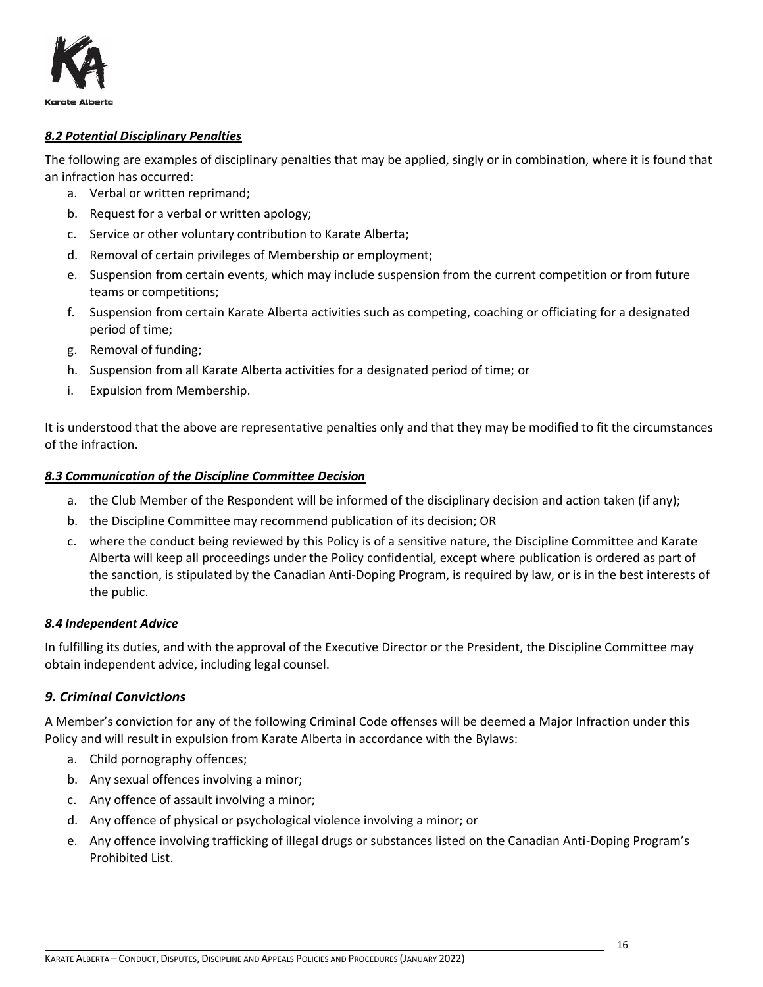

#### <span id="page-15-0"></span>*8.2 Potential Disciplinary Penalties*

The following are examples of disciplinary penalties that may be applied, singly or in combination, where it is found that an infraction has occurred:

- a. Verbal or written reprimand;
- b. Request for a verbal or written apology;
- c. Service or other voluntary contribution to Karate Alberta;
- d. Removal of certain privileges of Membership or employment;
- e. Suspension from certain events, which may include suspension from the current competition or from future teams or competitions;
- f. Suspension from certain Karate Alberta activities such as competing, coaching or officiating for a designated period of time;
- g. Removal of funding;
- h. Suspension from all Karate Alberta activities for a designated period of time; or
- i. Expulsion from Membership.

It is understood that the above are representative penalties only and that they may be modified to fit the circumstances of the infraction.

#### <span id="page-15-1"></span>*8.3 Communication of the Discipline Committee Decision*

- a. the Club Member of the Respondent will be informed of the disciplinary decision and action taken (if any);
- b. the Discipline Committee may recommend publication of its decision; OR
- c. where the conduct being reviewed by this Policy is of a sensitive nature, the Discipline Committee and Karate Alberta will keep all proceedings under the Policy confidential, except where publication is ordered as part of the sanction, is stipulated by the Canadian Anti-Doping Program, is required by law, or is in the best interests of the public.

#### <span id="page-15-2"></span>*8.4 Independent Advice*

In fulfilling its duties, and with the approval of the Executive Director or the President, the Discipline Committee may obtain independent advice, including legal counsel.

## <span id="page-15-3"></span>*9. Criminal Convictions*

A Member's conviction for any of the following Criminal Code offenses will be deemed a Major Infraction under this Policy and will result in expulsion from Karate Alberta in accordance with the Bylaws:

- a. Child pornography offences;
- b. Any sexual offences involving a minor;
- c. Any offence of assault involving a minor;
- d. Any offence of physical or psychological violence involving a minor; or
- e. Any offence involving trafficking of illegal drugs or substances listed on the Canadian Anti-Doping Program's Prohibited List.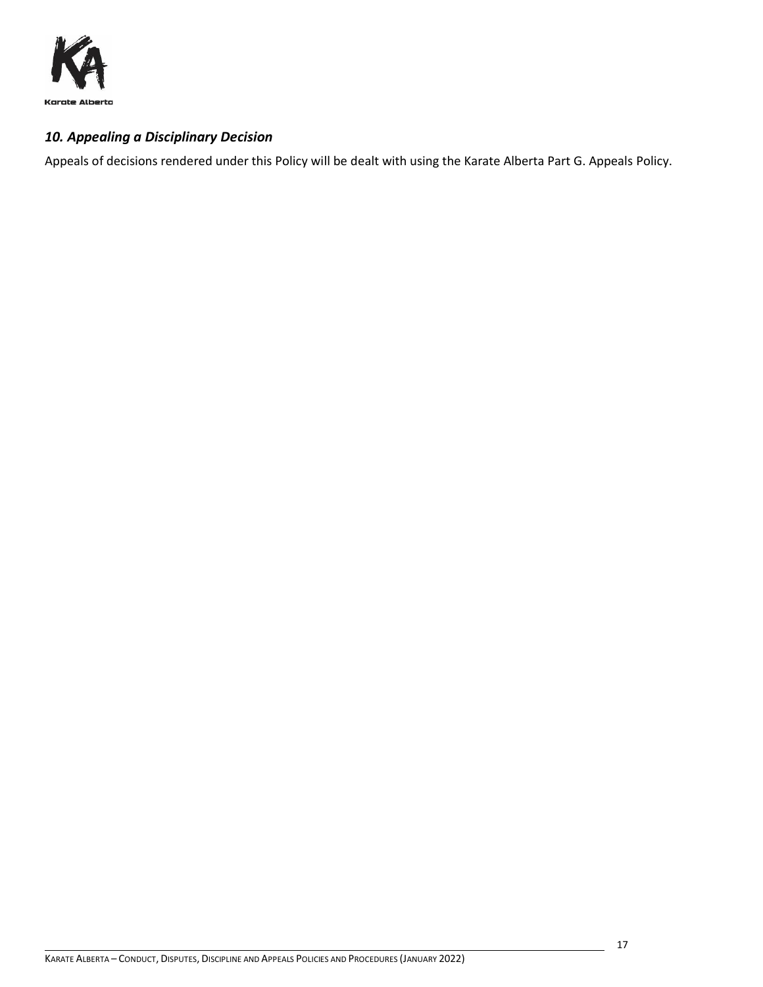

## <span id="page-16-0"></span>*10. Appealing a Disciplinary Decision*

Appeals of decisions rendered under this Policy will be dealt with using the Karate Alberta Part G. Appeals Policy.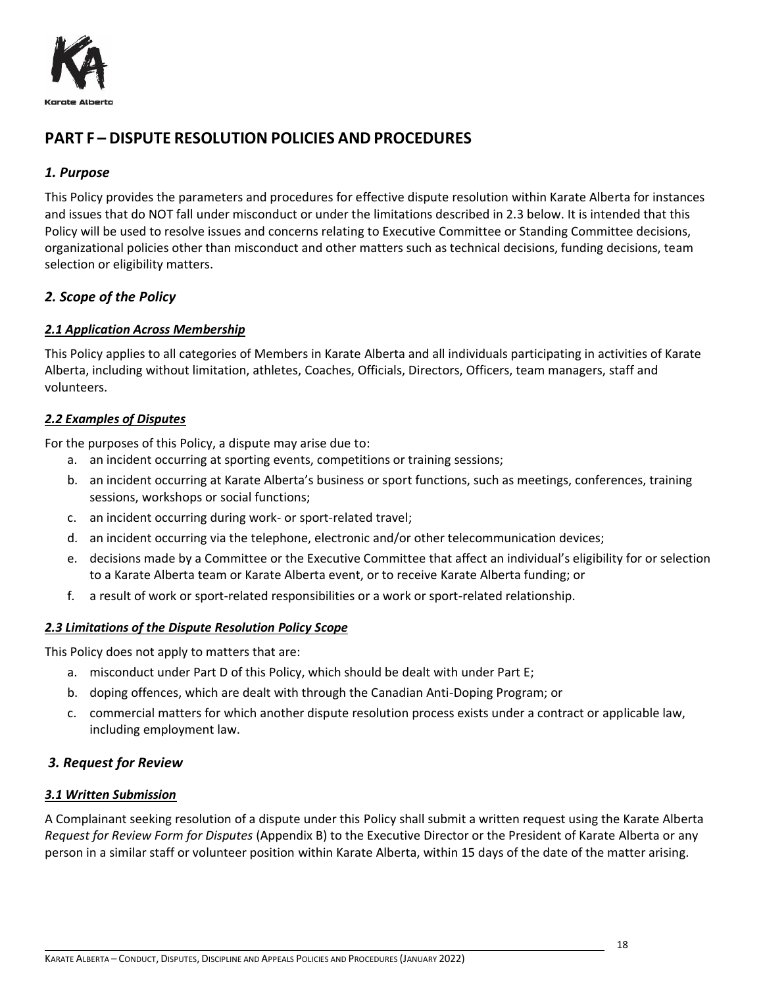

# <span id="page-17-0"></span>**PART F – DISPUTE RESOLUTION POLICIES AND PROCEDURES**

## <span id="page-17-1"></span>*1. Purpose*

This Policy provides the parameters and procedures for effective dispute resolution within Karate Alberta for instances and issues that do NOT fall under misconduct or under the limitations described in 2.3 below. It is intended that this Policy will be used to resolve issues and concerns relating to Executive Committee or Standing Committee decisions, organizational policies other than misconduct and other matters such as technical decisions, funding decisions, team selection or eligibility matters.

## <span id="page-17-2"></span>*2. Scope of the Policy*

## <span id="page-17-3"></span>*2.1 Application Across Membership*

This Policy applies to all categories of Members in Karate Alberta and all individuals participating in activities of Karate Alberta, including without limitation, athletes, Coaches, Officials, Directors, Officers, team managers, staff and volunteers.

## <span id="page-17-4"></span>*2.2 Examples of Disputes*

For the purposes of this Policy, a dispute may arise due to:

- a. an incident occurring at sporting events, competitions or training sessions;
- b. an incident occurring at Karate Alberta's business or sport functions, such as meetings, conferences, training sessions, workshops or social functions;
- c. an incident occurring during work- or sport-related travel;
- d. an incident occurring via the telephone, electronic and/or other telecommunication devices;
- e. decisions made by a Committee or the Executive Committee that affect an individual's eligibility for or selection to a Karate Alberta team or Karate Alberta event, or to receive Karate Alberta funding; or
- f. a result of work or sport-related responsibilities or a work or sport-related relationship.

## <span id="page-17-5"></span>*2.3 Limitations of the Dispute Resolution Policy Scope*

This Policy does not apply to matters that are:

- a. misconduct under Part D of this Policy, which should be dealt with under Part E;
- b. doping offences, which are dealt with through the Canadian Anti-Doping Program; or
- c. commercial matters for which another dispute resolution process exists under a contract or applicable law, including employment law.

## <span id="page-17-6"></span>*3. Request for Review*

## <span id="page-17-7"></span>*3.1 Written Submission*

A Complainant seeking resolution of a dispute under this Policy shall submit a written request using the Karate Alberta *Request for Review Form for Disputes* (Appendix B) to the Executive Director or the President of Karate Alberta or any person in a similar staff or volunteer position within Karate Alberta, within 15 days of the date of the matter arising.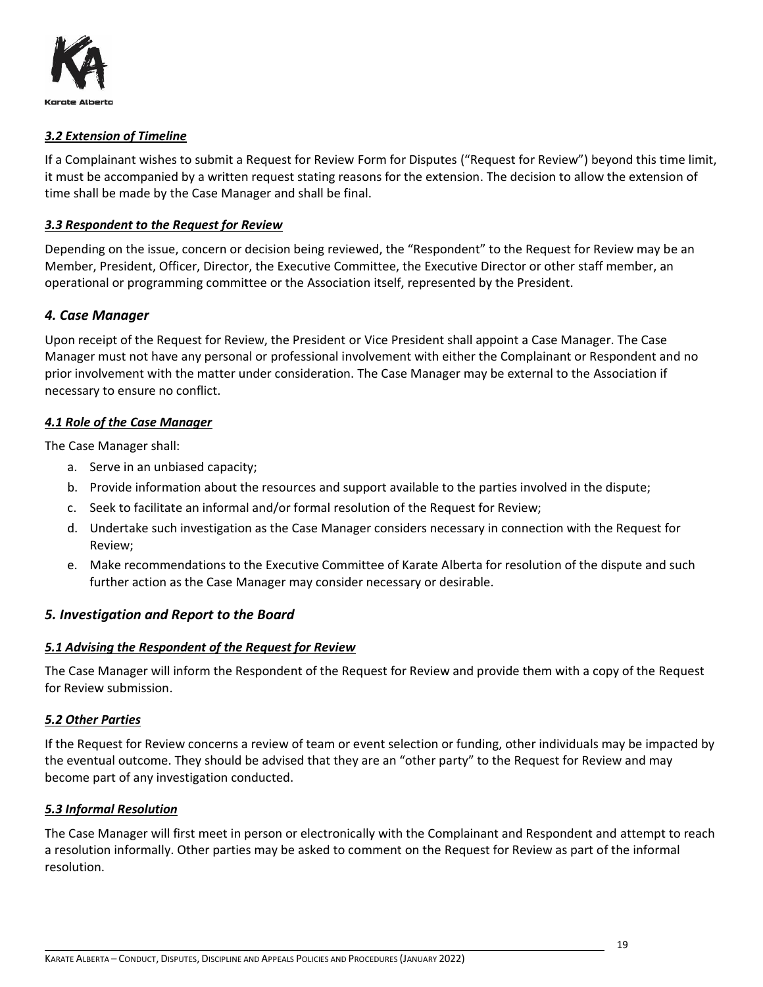

#### <span id="page-18-0"></span>*3.2 Extension of Timeline*

If a Complainant wishes to submit a Request for Review Form for Disputes ("Request for Review") beyond this time limit, it must be accompanied by a written request stating reasons for the extension. The decision to allow the extension of time shall be made by the Case Manager and shall be final.

#### <span id="page-18-1"></span>*3.3 Respondent to the Request for Review*

Depending on the issue, concern or decision being reviewed, the "Respondent" to the Request for Review may be an Member, President, Officer, Director, the Executive Committee, the Executive Director or other staff member, an operational or programming committee or the Association itself, represented by the President.

## <span id="page-18-2"></span>*4. Case Manager*

Upon receipt of the Request for Review, the President or Vice President shall appoint a Case Manager. The Case Manager must not have any personal or professional involvement with either the Complainant or Respondent and no prior involvement with the matter under consideration. The Case Manager may be external to the Association if necessary to ensure no conflict.

#### <span id="page-18-3"></span>*4.1 Role of the Case Manager*

The Case Manager shall:

- a. Serve in an unbiased capacity;
- b. Provide information about the resources and support available to the parties involved in the dispute;
- c. Seek to facilitate an informal and/or formal resolution of the Request for Review;
- d. Undertake such investigation as the Case Manager considers necessary in connection with the Request for Review;
- e. Make recommendations to the Executive Committee of Karate Alberta for resolution of the dispute and such further action as the Case Manager may consider necessary or desirable.

#### <span id="page-18-4"></span>*5. Investigation and Report to the Board*

#### <span id="page-18-5"></span>*5.1 Advising the Respondent of the Request for Review*

The Case Manager will inform the Respondent of the Request for Review and provide them with a copy of the Request for Review submission.

#### <span id="page-18-6"></span>*5.2 Other Parties*

If the Request for Review concerns a review of team or event selection or funding, other individuals may be impacted by the eventual outcome. They should be advised that they are an "other party" to the Request for Review and may become part of any investigation conducted.

#### <span id="page-18-7"></span>*5.3 Informal Resolution*

The Case Manager will first meet in person or electronically with the Complainant and Respondent and attempt to reach a resolution informally. Other parties may be asked to comment on the Request for Review as part of the informal resolution.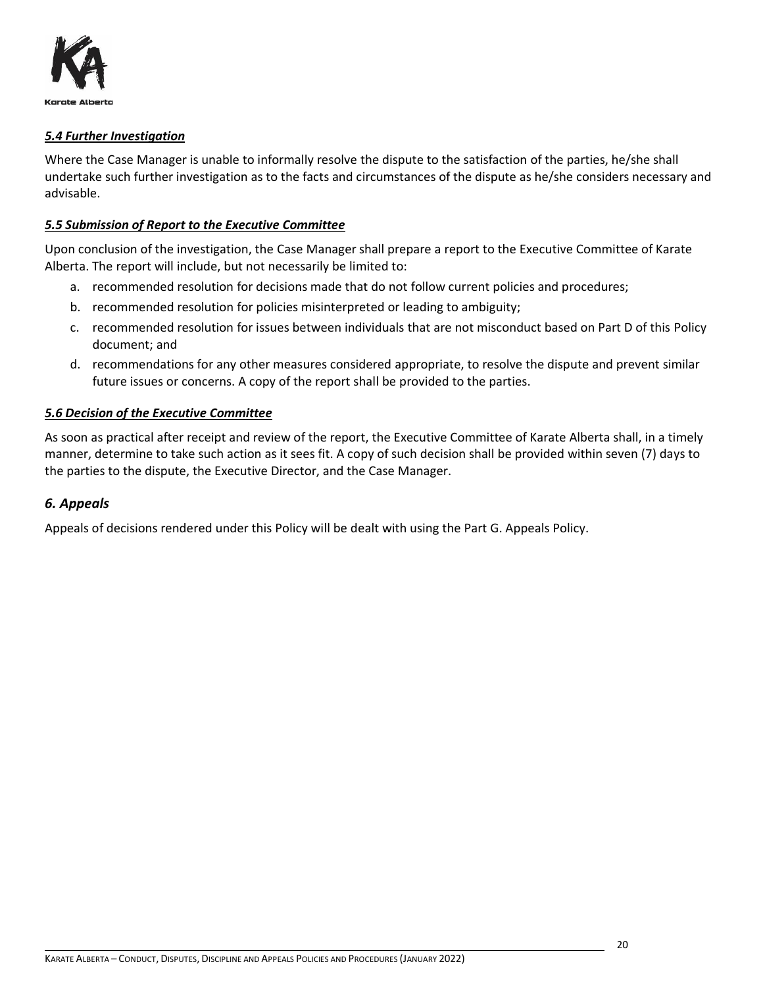

#### <span id="page-19-0"></span>*5.4 Further Investigation*

Where the Case Manager is unable to informally resolve the dispute to the satisfaction of the parties, he/she shall undertake such further investigation as to the facts and circumstances of the dispute as he/she considers necessary and advisable.

#### <span id="page-19-1"></span>*5.5 Submission of Report to the Executive Committee*

Upon conclusion of the investigation, the Case Manager shall prepare a report to the Executive Committee of Karate Alberta. The report will include, but not necessarily be limited to:

- a. recommended resolution for decisions made that do not follow current policies and procedures;
- b. recommended resolution for policies misinterpreted or leading to ambiguity;
- c. recommended resolution for issues between individuals that are not misconduct based on Part D of this Policy document; and
- d. recommendations for any other measures considered appropriate, to resolve the dispute and prevent similar future issues or concerns. A copy of the report shall be provided to the parties.

#### <span id="page-19-2"></span>*5.6 Decision of the Executive Committee*

As soon as practical after receipt and review of the report, the Executive Committee of Karate Alberta shall, in a timely manner, determine to take such action as it sees fit. A copy of such decision shall be provided within seven (7) days to the parties to the dispute, the Executive Director, and the Case Manager.

#### <span id="page-19-3"></span>*6. Appeals*

Appeals of decisions rendered under this Policy will be dealt with using the Part G. Appeals Policy.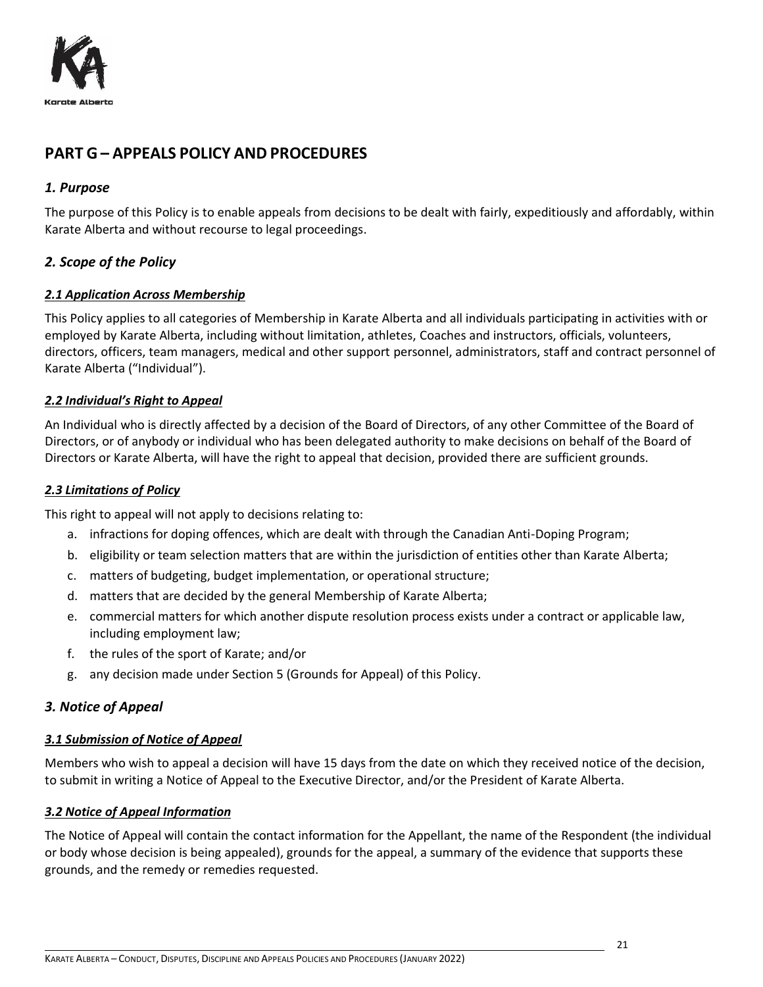

# <span id="page-20-0"></span>**PART G – APPEALS POLICY AND PROCEDURES**

## <span id="page-20-1"></span>*1. Purpose*

The purpose of this Policy is to enable appeals from decisions to be dealt with fairly, expeditiously and affordably, within Karate Alberta and without recourse to legal proceedings.

## <span id="page-20-2"></span>*2. Scope of the Policy*

## <span id="page-20-3"></span>*2.1 Application Across Membership*

This Policy applies to all categories of Membership in Karate Alberta and all individuals participating in activities with or employed by Karate Alberta, including without limitation, athletes, Coaches and instructors, officials, volunteers, directors, officers, team managers, medical and other support personnel, administrators, staff and contract personnel of Karate Alberta ("Individual").

#### <span id="page-20-4"></span>*2.2 Individual's Right to Appeal*

An Individual who is directly affected by a decision of the Board of Directors, of any other Committee of the Board of Directors, or of anybody or individual who has been delegated authority to make decisions on behalf of the Board of Directors or Karate Alberta, will have the right to appeal that decision, provided there are sufficient grounds.

#### <span id="page-20-5"></span>*2.3 Limitations of Policy*

This right to appeal will not apply to decisions relating to:

- a. infractions for doping offences, which are dealt with through the Canadian Anti-Doping Program;
- b. eligibility or team selection matters that are within the jurisdiction of entities other than Karate Alberta;
- c. matters of budgeting, budget implementation, or operational structure;
- d. matters that are decided by the general Membership of Karate Alberta;
- e. commercial matters for which another dispute resolution process exists under a contract or applicable law, including employment law;
- f. the rules of the sport of Karate; and/or
- g. any decision made under Section 5 (Grounds for Appeal) of this Policy.

## <span id="page-20-6"></span>*3. Notice of Appeal*

#### <span id="page-20-7"></span>*3.1 Submission of Notice of Appeal*

Members who wish to appeal a decision will have 15 days from the date on which they received notice of the decision, to submit in writing a Notice of Appeal to the Executive Director, and/or the President of Karate Alberta.

#### <span id="page-20-8"></span>*3.2 Notice of Appeal Information*

The Notice of Appeal will contain the contact information for the Appellant, the name of the Respondent (the individual or body whose decision is being appealed), grounds for the appeal, a summary of the evidence that supports these grounds, and the remedy or remedies requested.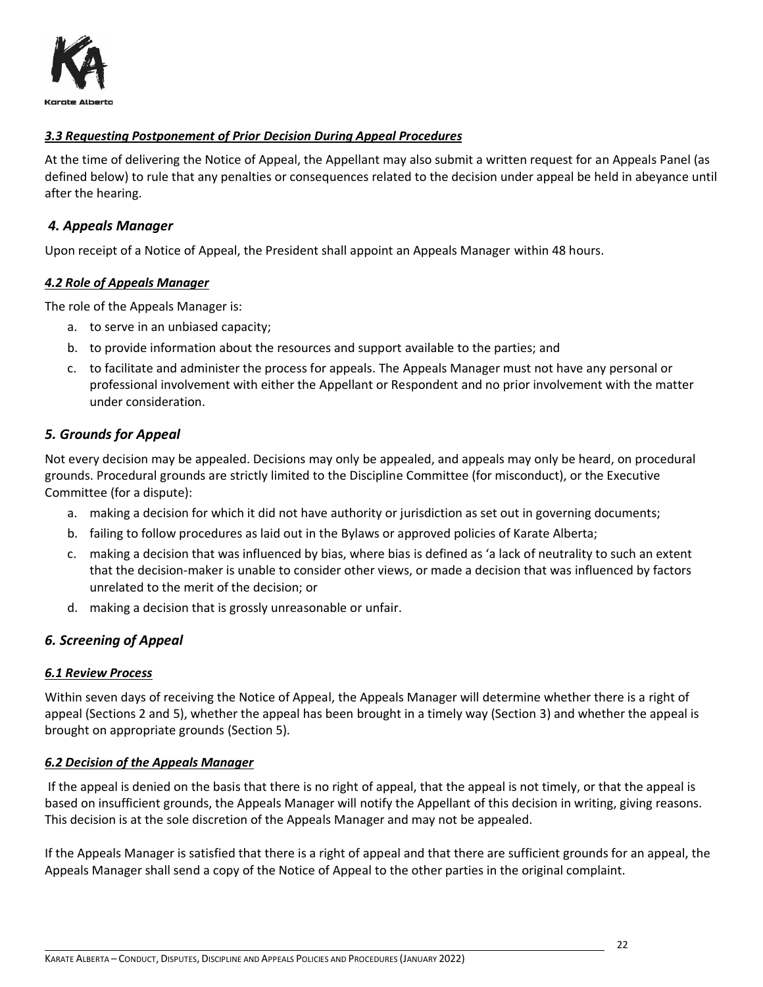

## <span id="page-21-0"></span>*3.3 Requesting Postponement of Prior Decision During Appeal Procedures*

At the time of delivering the Notice of Appeal, the Appellant may also submit a written request for an Appeals Panel (as defined below) to rule that any penalties or consequences related to the decision under appeal be held in abeyance until after the hearing.

#### <span id="page-21-1"></span>*4. Appeals Manager*

<span id="page-21-2"></span>Upon receipt of a Notice of Appeal, the President shall appoint an Appeals Manager within 48 hours.

#### *4.2 Role of Appeals Manager*

The role of the Appeals Manager is:

- a. to serve in an unbiased capacity;
- b. to provide information about the resources and support available to the parties; and
- c. to facilitate and administer the process for appeals. The Appeals Manager must not have any personal or professional involvement with either the Appellant or Respondent and no prior involvement with the matter under consideration.

#### <span id="page-21-3"></span>*5. Grounds for Appeal*

Not every decision may be appealed. Decisions may only be appealed, and appeals may only be heard, on procedural grounds. Procedural grounds are strictly limited to the Discipline Committee (for misconduct), or the Executive Committee (for a dispute):

- a. making a decision for which it did not have authority or jurisdiction as set out in governing documents;
- b. failing to follow procedures as laid out in the Bylaws or approved policies of Karate Alberta;
- c. making a decision that was influenced by bias, where bias is defined as 'a lack of neutrality to such an extent that the decision-maker is unable to consider other views, or made a decision that was influenced by factors unrelated to the merit of the decision; or
- d. making a decision that is grossly unreasonable or unfair.

## <span id="page-21-4"></span>*6. Screening of Appeal*

#### <span id="page-21-5"></span>*6.1 Review Process*

Within seven days of receiving the Notice of Appeal, the Appeals Manager will determine whether there is a right of appeal (Sections 2 and 5), whether the appeal has been brought in a timely way (Section 3) and whether the appeal is brought on appropriate grounds (Section 5).

#### <span id="page-21-6"></span>*6.2 Decision of the Appeals Manager*

If the appeal is denied on the basis that there is no right of appeal, that the appeal is not timely, or that the appeal is based on insufficient grounds, the Appeals Manager will notify the Appellant of this decision in writing, giving reasons. This decision is at the sole discretion of the Appeals Manager and may not be appealed.

If the Appeals Manager is satisfied that there is a right of appeal and that there are sufficient grounds for an appeal, the Appeals Manager shall send a copy of the Notice of Appeal to the other parties in the original complaint.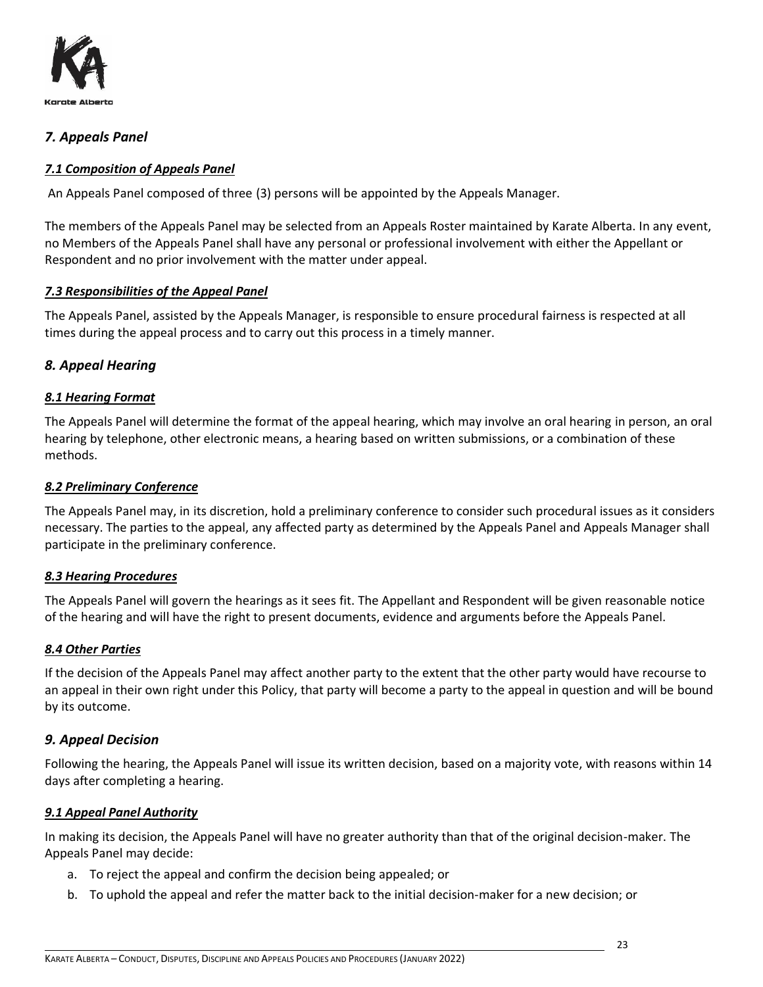

## <span id="page-22-0"></span>*7. Appeals Panel*

## <span id="page-22-1"></span>*7.1 Composition of Appeals Panel*

An Appeals Panel composed of three (3) persons will be appointed by the Appeals Manager.

The members of the Appeals Panel may be selected from an Appeals Roster maintained by Karate Alberta. In any event, no Members of the Appeals Panel shall have any personal or professional involvement with either the Appellant or Respondent and no prior involvement with the matter under appeal.

#### <span id="page-22-2"></span>*7.3 Responsibilities of the Appeal Panel*

The Appeals Panel, assisted by the Appeals Manager, is responsible to ensure procedural fairness is respected at all times during the appeal process and to carry out this process in a timely manner.

## <span id="page-22-3"></span>*8. Appeal Hearing*

## <span id="page-22-4"></span>*8.1 Hearing Format*

The Appeals Panel will determine the format of the appeal hearing, which may involve an oral hearing in person, an oral hearing by telephone, other electronic means, a hearing based on written submissions, or a combination of these methods.

#### <span id="page-22-5"></span>*8.2 Preliminary Conference*

The Appeals Panel may, in its discretion, hold a preliminary conference to consider such procedural issues as it considers necessary. The parties to the appeal, any affected party as determined by the Appeals Panel and Appeals Manager shall participate in the preliminary conference.

#### <span id="page-22-6"></span>*8.3 Hearing Procedures*

The Appeals Panel will govern the hearings as it sees fit. The Appellant and Respondent will be given reasonable notice of the hearing and will have the right to present documents, evidence and arguments before the Appeals Panel.

#### <span id="page-22-7"></span>*8.4 Other Parties*

If the decision of the Appeals Panel may affect another party to the extent that the other party would have recourse to an appeal in their own right under this Policy, that party will become a party to the appeal in question and will be bound by its outcome.

## <span id="page-22-8"></span>*9. Appeal Decision*

Following the hearing, the Appeals Panel will issue its written decision, based on a majority vote, with reasons within 14 days after completing a hearing.

#### <span id="page-22-9"></span>*9.1 Appeal Panel Authority*

In making its decision, the Appeals Panel will have no greater authority than that of the original decision-maker. The Appeals Panel may decide:

- a. To reject the appeal and confirm the decision being appealed; or
- b. To uphold the appeal and refer the matter back to the initial decision-maker for a new decision; or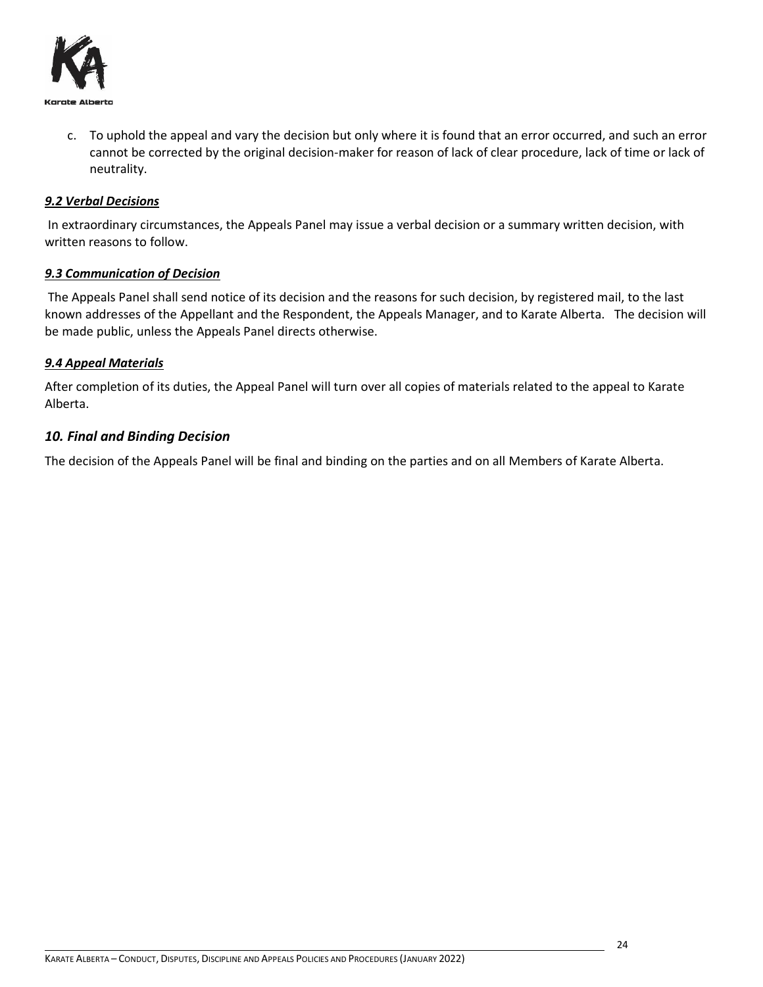

c. To uphold the appeal and vary the decision but only where it is found that an error occurred, and such an error cannot be corrected by the original decision-maker for reason of lack of clear procedure, lack of time or lack of neutrality.

#### <span id="page-23-0"></span>*9.2 Verbal Decisions*

In extraordinary circumstances, the Appeals Panel may issue a verbal decision or a summary written decision, with written reasons to follow.

#### <span id="page-23-1"></span>*9.3 Communication of Decision*

The Appeals Panel shall send notice of its decision and the reasons for such decision, by registered mail, to the last known addresses of the Appellant and the Respondent, the Appeals Manager, and to Karate Alberta. The decision will be made public, unless the Appeals Panel directs otherwise.

#### <span id="page-23-2"></span>*9.4 Appeal Materials*

After completion of its duties, the Appeal Panel will turn over all copies of materials related to the appeal to Karate Alberta.

#### <span id="page-23-3"></span>*10. Final and Binding Decision*

The decision of the Appeals Panel will be final and binding on the parties and on all Members of Karate Alberta.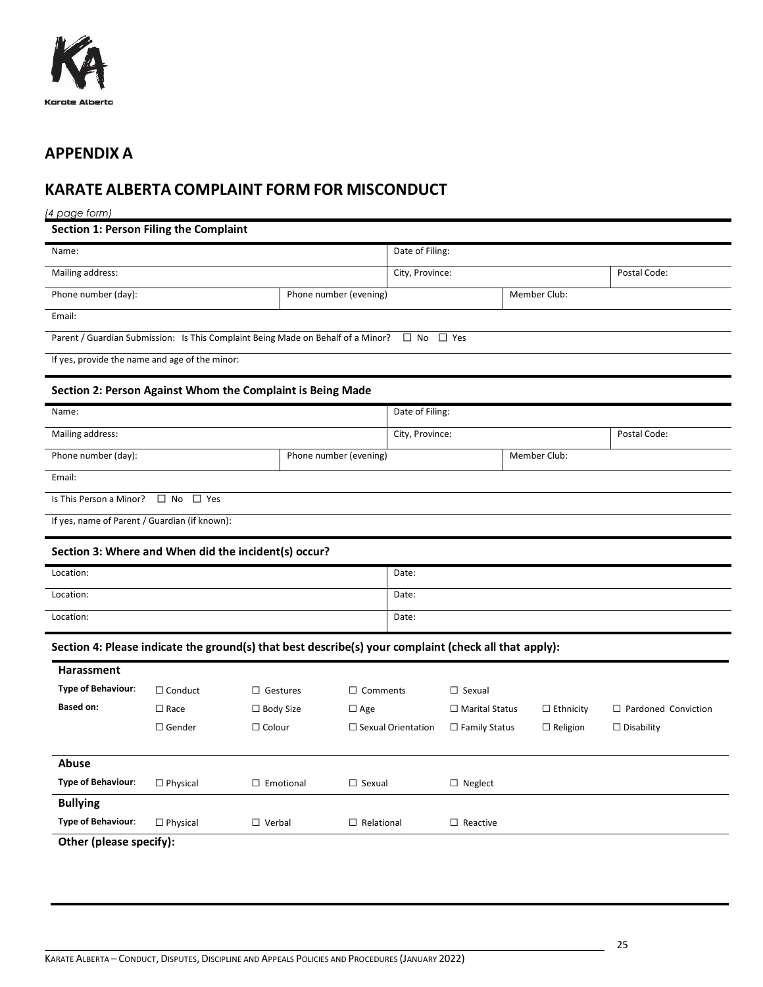

# <span id="page-24-0"></span>**APPENDIX A**

# <span id="page-24-1"></span>**KARATE ALBERTA COMPLAINT FORM FOR MISCONDUCT**

#### *(4 page form)*

|  |  |  |  |  | Section 1: Person Filing the Complaint |
|--|--|--|--|--|----------------------------------------|
|--|--|--|--|--|----------------------------------------|

| Name:                                                                                                 |                         |                     |                        | Date of Filing: |                           |                       |                  |                            |
|-------------------------------------------------------------------------------------------------------|-------------------------|---------------------|------------------------|-----------------|---------------------------|-----------------------|------------------|----------------------------|
| Mailing address:                                                                                      |                         |                     | City, Province:        |                 |                           | Postal Code:          |                  |                            |
| Phone number (day):                                                                                   |                         |                     | Phone number (evening) |                 |                           |                       | Member Club:     |                            |
| Email:                                                                                                |                         |                     |                        |                 |                           |                       |                  |                            |
| Parent / Guardian Submission: Is This Complaint Being Made on Behalf of a Minor?                      |                         |                     |                        |                 | $\Box$ No                 | $\Box$ Yes            |                  |                            |
| If yes, provide the name and age of the minor:                                                        |                         |                     |                        |                 |                           |                       |                  |                            |
| Section 2: Person Against Whom the Complaint is Being Made                                            |                         |                     |                        |                 |                           |                       |                  |                            |
| Name:                                                                                                 |                         |                     |                        |                 | Date of Filing:           |                       |                  |                            |
| Mailing address:                                                                                      |                         |                     |                        |                 | City, Province:           |                       |                  | Postal Code:               |
| Phone number (day):                                                                                   |                         |                     | Phone number (evening) |                 |                           |                       | Member Club:     |                            |
| Email:                                                                                                |                         |                     |                        |                 |                           |                       |                  |                            |
| Is This Person a Minor?                                                                               | $\Box$ No<br>$\Box$ Yes |                     |                        |                 |                           |                       |                  |                            |
| If yes, name of Parent / Guardian (if known):                                                         |                         |                     |                        |                 |                           |                       |                  |                            |
| Section 3: Where and When did the incident(s) occur?                                                  |                         |                     |                        |                 |                           |                       |                  |                            |
| Location:                                                                                             |                         |                     |                        |                 | Date:                     |                       |                  |                            |
| Location:                                                                                             |                         |                     |                        |                 | Date:                     |                       |                  |                            |
| Location:                                                                                             |                         |                     |                        |                 | Date:                     |                       |                  |                            |
| Section 4: Please indicate the ground(s) that best describe(s) your complaint (check all that apply): |                         |                     |                        |                 |                           |                       |                  |                            |
| <b>Harassment</b>                                                                                     |                         |                     |                        |                 |                           |                       |                  |                            |
| Type of Behaviour:                                                                                    | $\Box$ Conduct          | $\Box$ Gestures     |                        | $\Box$ Comments |                           | $\Box$ Sexual         |                  |                            |
| <b>Based on:</b>                                                                                      | $\square$ Race          | $\Box$ Body Size    |                        | $\Box$ Age      |                           | $\Box$ Marital Status | $\Box$ Ethnicity | $\Box$ Pardoned Conviction |
|                                                                                                       | $\Box$ Gender           | $\Box$ Colour       |                        |                 | $\Box$ Sexual Orientation | $\Box$ Family Status  | $\Box$ Religion  | $\Box$ Disability          |
| Abuse                                                                                                 |                         |                     |                        |                 |                           |                       |                  |                            |
| <b>Type of Behaviour:</b>                                                                             | $\Box$ Physical         | $\square$ Emotional | $\Box$ Sexual          |                 | $\Box$ Neglect            |                       |                  |                            |

**Other (please specify):**

**Bullying**

**Type of Behaviour:** □ Physical □ Verbal □ Relational □ Reactive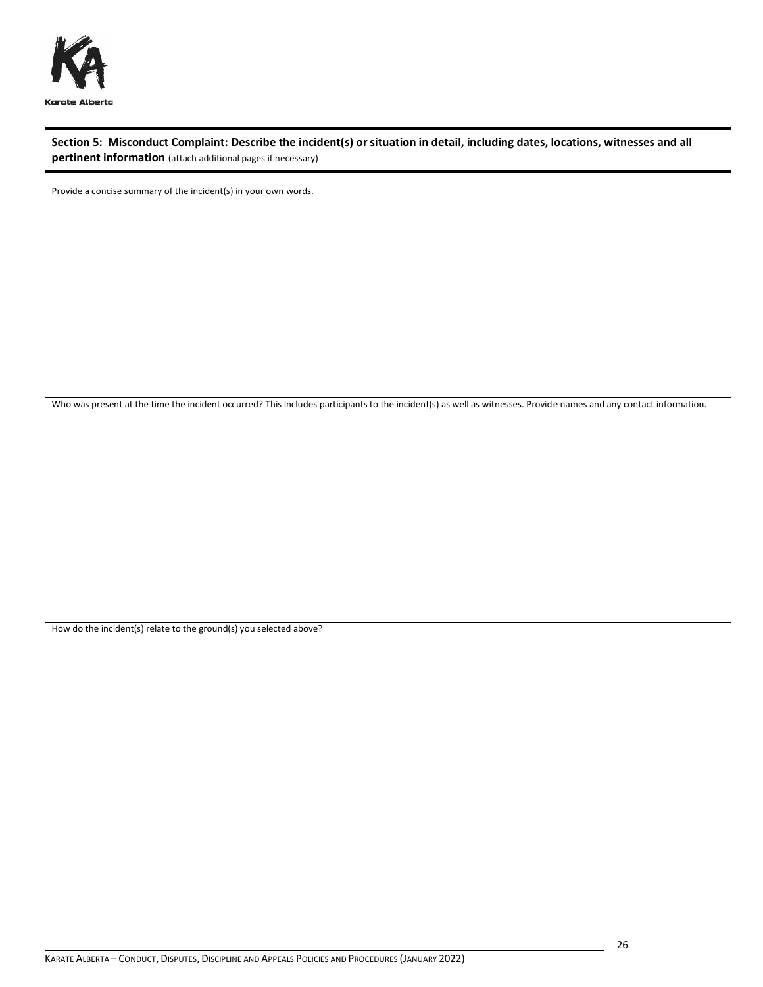

**Section 5: Misconduct Complaint: Describe the incident(s) or situation in detail, including dates, locations, witnesses and all pertinent information** (attach additional pages if necessary)

Provide a concise summary of the incident(s) in your own words.

Who was present at the time the incident occurred? This includes participants to the incident(s) as well as witnesses. Provide names and any contact information.

How do the incident(s) relate to the ground(s) you selected above?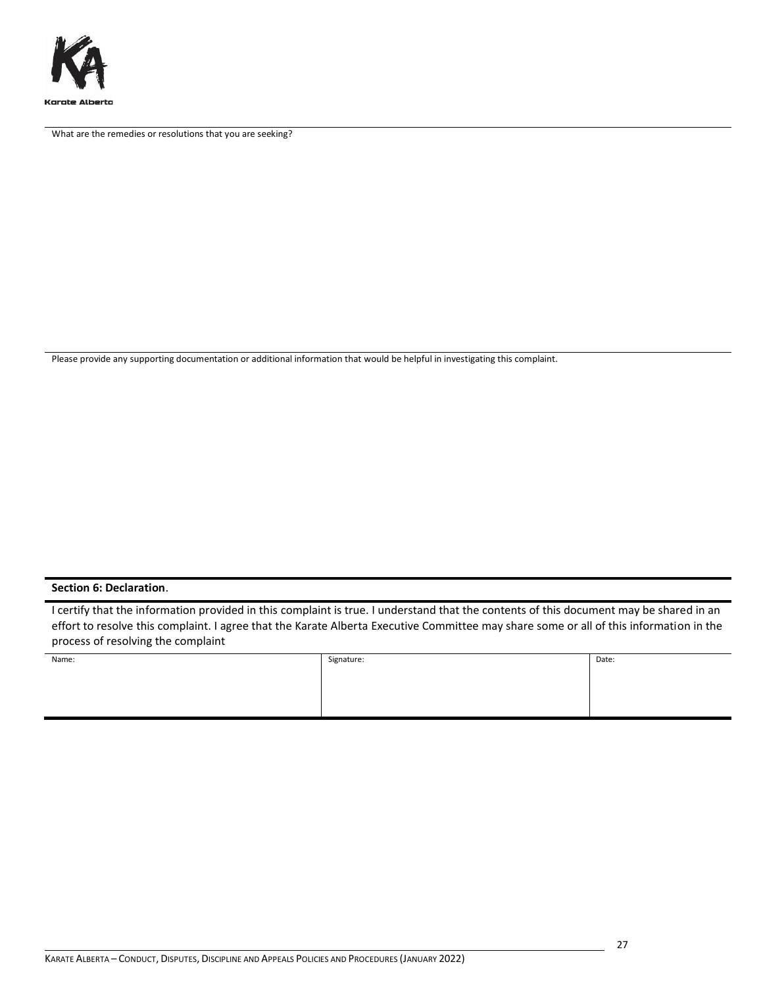

What are the remedies or resolutions that you are seeking?

Please provide any supporting documentation or additional information that would be helpful in investigating this complaint.

#### **Section 6: Declaration**.

I certify that the information provided in this complaint is true. I understand that the contents of this document may be shared in an effort to resolve this complaint. I agree that the Karate Alberta Executive Committee may share some or all of this information in the process of resolving the complaint

| Name: | Signature: | Date: |
|-------|------------|-------|
|       |            |       |
|       |            |       |
|       |            |       |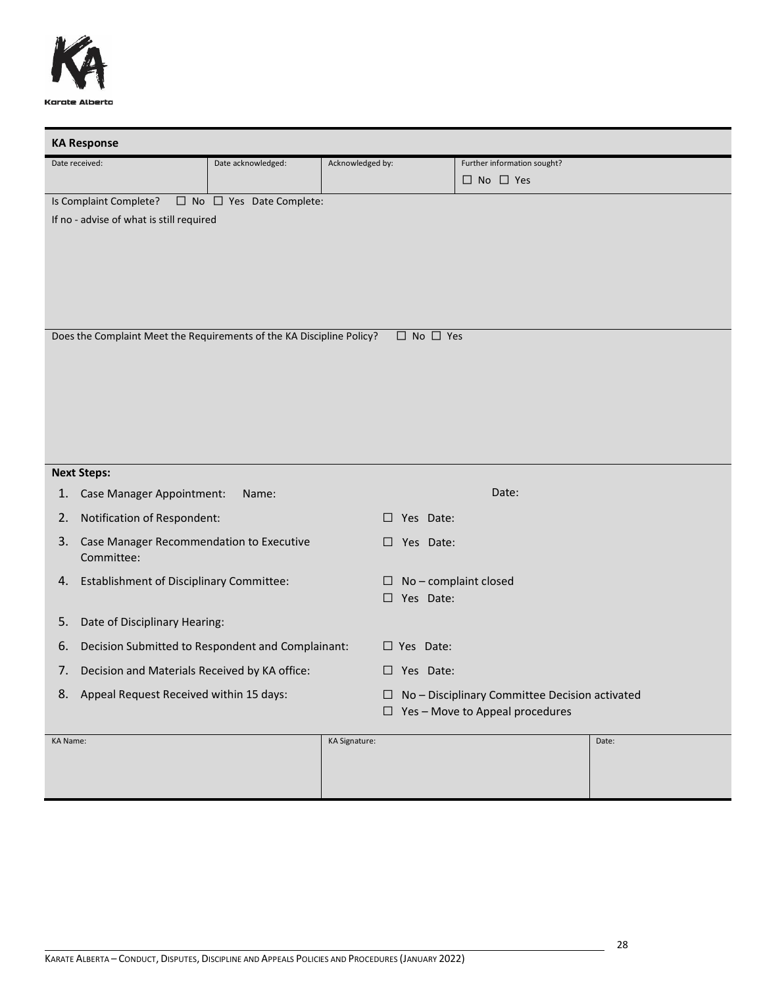

| <b>KA Response</b>                                                    |                                     |                      |                            |                                                |       |
|-----------------------------------------------------------------------|-------------------------------------|----------------------|----------------------------|------------------------------------------------|-------|
| Date received:                                                        | Date acknowledged:                  | Acknowledged by:     |                            | Further information sought?                    |       |
|                                                                       |                                     |                      |                            | $\Box$ No $\Box$ Yes                           |       |
| Is Complaint Complete?                                                | $\Box$ No $\Box$ Yes Date Complete: |                      |                            |                                                |       |
| If no - advise of what is still required                              |                                     |                      |                            |                                                |       |
|                                                                       |                                     |                      |                            |                                                |       |
|                                                                       |                                     |                      |                            |                                                |       |
|                                                                       |                                     |                      |                            |                                                |       |
|                                                                       |                                     |                      |                            |                                                |       |
|                                                                       |                                     |                      |                            |                                                |       |
| Does the Complaint Meet the Requirements of the KA Discipline Policy? |                                     |                      | $\square$ No $\square$ Yes |                                                |       |
|                                                                       |                                     |                      |                            |                                                |       |
|                                                                       |                                     |                      |                            |                                                |       |
|                                                                       |                                     |                      |                            |                                                |       |
|                                                                       |                                     |                      |                            |                                                |       |
|                                                                       |                                     |                      |                            |                                                |       |
|                                                                       |                                     |                      |                            |                                                |       |
|                                                                       |                                     |                      |                            |                                                |       |
| <b>Next Steps:</b>                                                    |                                     |                      |                            |                                                |       |
| Case Manager Appointment:<br>1.                                       | Name:                               |                      |                            | Date:                                          |       |
| Notification of Respondent:<br>2.                                     |                                     |                      | $\Box$ Yes Date:           |                                                |       |
| Case Manager Recommendation to Executive<br>3.                        |                                     |                      | $\square$ Yes Date:        |                                                |       |
| Committee:                                                            |                                     |                      |                            |                                                |       |
| <b>Establishment of Disciplinary Committee:</b><br>4.                 |                                     |                      | □                          | No - complaint closed                          |       |
|                                                                       |                                     |                      | $\Box$ Yes Date:           |                                                |       |
| Date of Disciplinary Hearing:<br>5.                                   |                                     |                      |                            |                                                |       |
| Decision Submitted to Respondent and Complainant:<br>6.               |                                     |                      | $\Box$ Yes Date:           |                                                |       |
| Decision and Materials Received by KA office:<br>7.                   |                                     |                      | $\Box$ Yes Date:           |                                                |       |
| Appeal Request Received within 15 days:<br>8.                         |                                     |                      | ⊔                          | No - Disciplinary Committee Decision activated |       |
|                                                                       |                                     |                      |                            | $\Box$ Yes - Move to Appeal procedures         |       |
|                                                                       |                                     |                      |                            |                                                |       |
| <b>KA Name:</b>                                                       |                                     | <b>KA Signature:</b> |                            |                                                | Date: |
|                                                                       |                                     |                      |                            |                                                |       |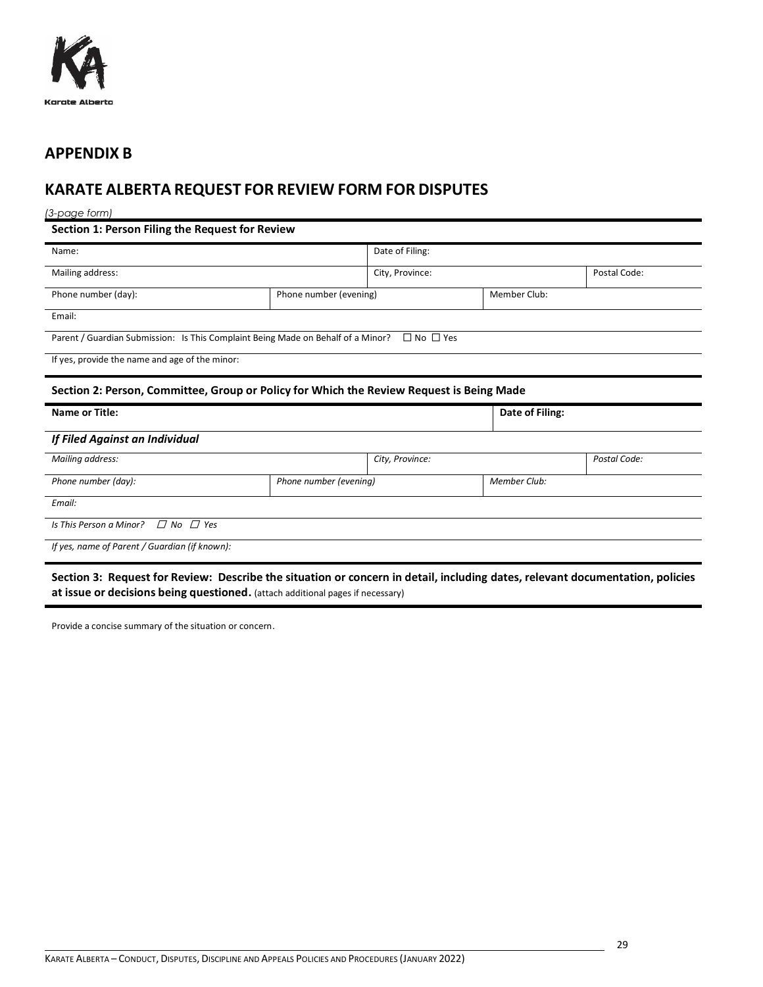

## <span id="page-28-0"></span>**APPENDIX B**

# <span id="page-28-1"></span>**KARATE ALBERTA REQUEST FOR REVIEW FORM FOR DISPUTES**

*(3-page form)*

**Section 1: Person Filing the Request for Review**

| Name:                                                                            | Date of Filing:        |                                                                                          |                 |              |  |  |  |
|----------------------------------------------------------------------------------|------------------------|------------------------------------------------------------------------------------------|-----------------|--------------|--|--|--|
|                                                                                  |                        |                                                                                          |                 | Postal Code: |  |  |  |
| Mailing address:                                                                 |                        | City, Province:                                                                          |                 |              |  |  |  |
| Phone number (day):                                                              | Phone number (evening) |                                                                                          | Member Club:    |              |  |  |  |
|                                                                                  |                        |                                                                                          |                 |              |  |  |  |
| Email:                                                                           |                        |                                                                                          |                 |              |  |  |  |
|                                                                                  |                        | $\Box$ No $\Box$ Yes                                                                     |                 |              |  |  |  |
| Parent / Guardian Submission: Is This Complaint Being Made on Behalf of a Minor? |                        |                                                                                          |                 |              |  |  |  |
| If yes, provide the name and age of the minor:                                   |                        |                                                                                          |                 |              |  |  |  |
|                                                                                  |                        |                                                                                          |                 |              |  |  |  |
|                                                                                  |                        |                                                                                          |                 |              |  |  |  |
|                                                                                  |                        | Section 2: Person, Committee, Group or Policy for Which the Review Request is Being Made |                 |              |  |  |  |
|                                                                                  |                        |                                                                                          |                 |              |  |  |  |
| <b>Name or Title:</b>                                                            |                        |                                                                                          | Date of Filing: |              |  |  |  |
|                                                                                  |                        |                                                                                          |                 |              |  |  |  |
| If Filed Against an Individual                                                   |                        |                                                                                          |                 |              |  |  |  |
| Mailing address:                                                                 |                        | City, Province:                                                                          |                 | Postal Code: |  |  |  |
|                                                                                  |                        |                                                                                          |                 |              |  |  |  |
| Phone number (day):                                                              | Phone number (evening) |                                                                                          | Member Club:    |              |  |  |  |
|                                                                                  |                        |                                                                                          |                 |              |  |  |  |
| Email:                                                                           |                        |                                                                                          |                 |              |  |  |  |
| $\Box$ No $\Box$ Yes<br>Is This Person a Minor?                                  |                        |                                                                                          |                 |              |  |  |  |
|                                                                                  |                        |                                                                                          |                 |              |  |  |  |
| If yes, name of Parent / Guardian (if known):                                    |                        |                                                                                          |                 |              |  |  |  |

**Section 3: Request for Review: Describe the situation or concern in detail, including dates, relevant documentation, policies at issue or decisions being questioned.** (attach additional pages if necessary)

Provide a concise summary of the situation or concern.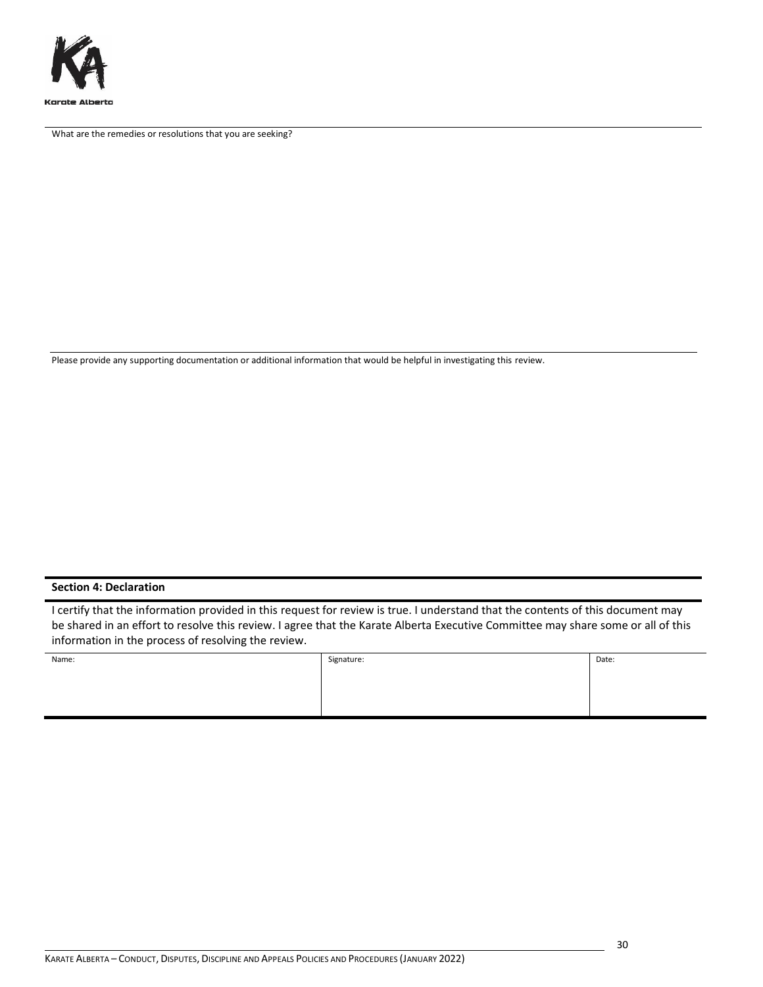

What are the remedies or resolutions that you are seeking?

Please provide any supporting documentation or additional information that would be helpful in investigating this review.

#### **Section 4: Declaration**

I certify that the information provided in this request for review is true. I understand that the contents of this document may be shared in an effort to resolve this review. I agree that the Karate Alberta Executive Committee may share some or all of this information in the process of resolving the review.

| Name: | Signature: | Date: |
|-------|------------|-------|
|       |            |       |
|       |            |       |
|       |            |       |